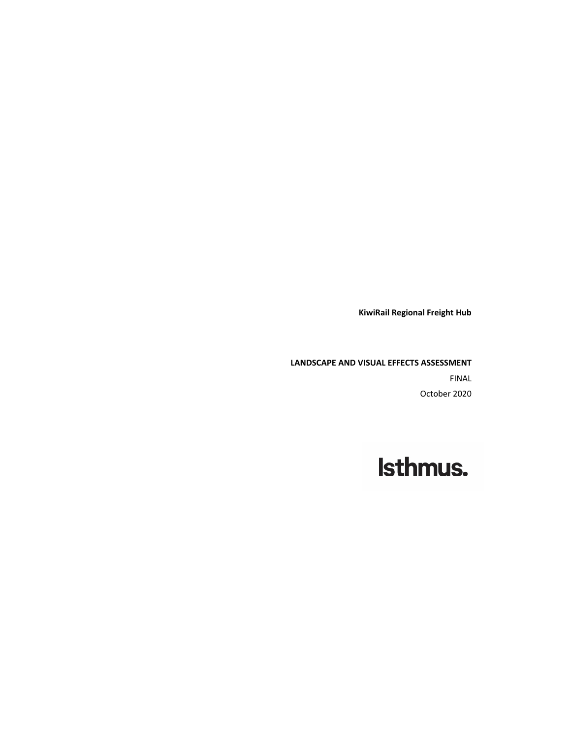**KiwiRail Regional Freight Hub** 

**LANDSCAPE AND VISUAL EFFECTS ASSESSMENT** FINAL October 2020

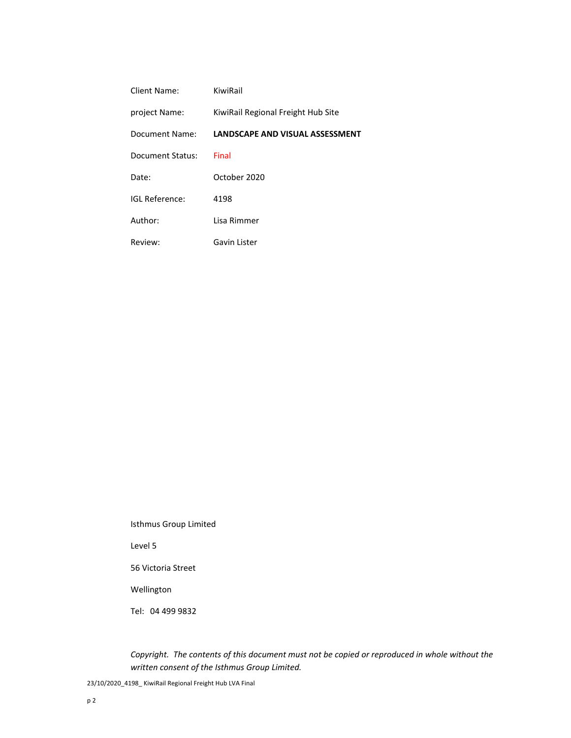| Client Name:     | KiwiRail                           |
|------------------|------------------------------------|
| project Name:    | KiwiRail Regional Freight Hub Site |
| Document Name:   | LANDSCAPE AND VISUAL ASSESSMENT    |
| Document Status: | Final                              |
| Date:            | October 2020                       |
| IGI Reference:   | 4198                               |
| Author:          | Lisa Rimmer                        |
| Review:          | Gavin Lister                       |

Isthmus Group Limited

Level 5

56 Victoria Street

Wellington

Tel: 04 499 9832

*Copyright. The contents of this document must not be copied or reproduced in whole without the written consent of the Isthmus Group Limited.*

23/10/2020\_4198\_ KiwiRail Regional Freight Hub LVA Final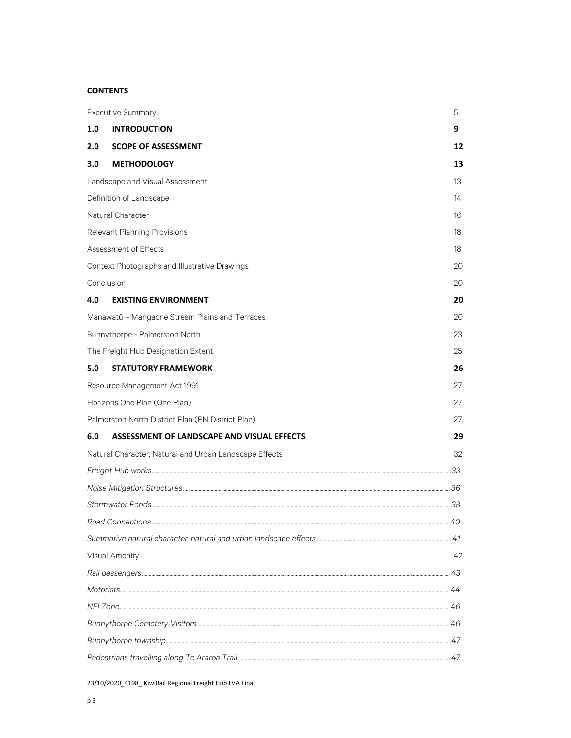# **CONTENTS**

|                                 | <b>Executive Summary</b>                               | 5  |  |
|---------------------------------|--------------------------------------------------------|----|--|
| 1.0                             | <b>INTRODUCTION</b>                                    | 9  |  |
| 2.0                             | <b>SCOPE OF ASSESSMENT</b>                             | 12 |  |
| 3.0                             | <b>METHODOLOGY</b>                                     | 13 |  |
| Landscape and Visual Assessment |                                                        |    |  |
|                                 | Definition of Landscape                                | 14 |  |
|                                 | Natural Character                                      | 16 |  |
|                                 | Relevant Planning Provisions                           | 18 |  |
|                                 | Assessment of Effects                                  | 18 |  |
|                                 | Context Photographs and Illustrative Drawings          | 20 |  |
|                                 | Conclusion                                             | 20 |  |
| 4.0                             | <b>EXISTING ENVIRONMENT</b>                            | 20 |  |
|                                 | Manawatū - Mangaone Stream Plains and Terraces         | 20 |  |
|                                 | Bunnythorpe - Palmerston North                         | 23 |  |
|                                 | The Freight Hub Designation Extent                     | 25 |  |
| 5.0                             | <b>STATUTORY FRAMEWORK</b>                             | 26 |  |
|                                 | Resource Management Act 1991                           | 27 |  |
|                                 | Horizons One Plan (One Plan)                           | 27 |  |
|                                 | Palmerston North District Plan (PN District Plan)      | 27 |  |
| 6.0                             | ASSESSMENT OF LANDSCAPE AND VISUAL EFFECTS             | 29 |  |
|                                 | Natural Character, Natural and Urban Landscape Effects | 32 |  |
|                                 |                                                        |    |  |
|                                 |                                                        |    |  |
|                                 |                                                        |    |  |
|                                 |                                                        |    |  |
|                                 |                                                        |    |  |
|                                 | <b>Visual Amenity</b>                                  | 42 |  |
|                                 |                                                        |    |  |
|                                 |                                                        |    |  |
|                                 |                                                        |    |  |
|                                 |                                                        |    |  |
|                                 |                                                        |    |  |
|                                 |                                                        |    |  |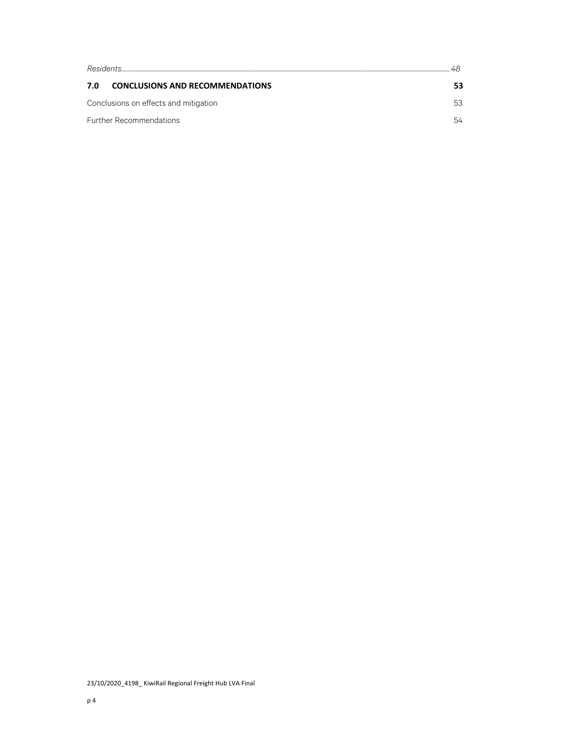| Residents                                     |    |  |  |  |  |
|-----------------------------------------------|----|--|--|--|--|
| <b>CONCLUSIONS AND RECOMMENDATIONS</b><br>7.0 |    |  |  |  |  |
| Conclusions on effects and mitigation         | 53 |  |  |  |  |
| <b>Further Recommendations</b>                | 54 |  |  |  |  |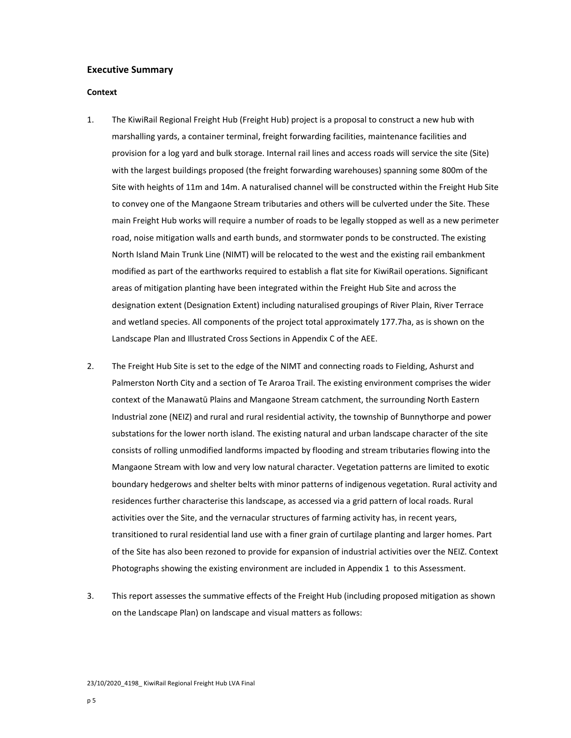## **Executive Summary**

## **Context**

- 1. The KiwiRail Regional Freight Hub (Freight Hub) project is a proposal to construct a new hub with marshalling yards, a container terminal, freight forwarding facilities, maintenance facilities and provision for a log yard and bulk storage. Internal rail lines and access roads will service the site (Site) with the largest buildings proposed (the freight forwarding warehouses) spanning some 800m of the Site with heights of 11m and 14m. A naturalised channel will be constructed within the Freight Hub Site to convey one of the Mangaone Stream tributaries and others will be culverted under the Site. These main Freight Hub works will require a number of roads to be legally stopped as well as a new perimeter road, noise mitigation walls and earth bunds, and stormwater ponds to be constructed. The existing North Island Main Trunk Line (NIMT) will be relocated to the west and the existing rail embankment modified as part of the earthworks required to establish a flat site for KiwiRail operations. Significant areas of mitigation planting have been integrated within the Freight Hub Site and across the designation extent (Designation Extent) including naturalised groupings of River Plain, River Terrace and wetland species. All components of the project total approximately 177.7ha, as is shown on the Landscape Plan and Illustrated Cross Sections in Appendix C of the AEE.
- 2. The Freight Hub Site is set to the edge of the NIMT and connecting roads to Fielding, Ashurst and Palmerston North City and a section of Te Araroa Trail. The existing environment comprises the wider context of the Manawatū Plains and Mangaone Stream catchment, the surrounding North Eastern Industrial zone (NEIZ) and rural and rural residential activity, the township of Bunnythorpe and power substations for the lower north island. The existing natural and urban landscape character of the site consists of rolling unmodified landforms impacted by flooding and stream tributaries flowing into the Mangaone Stream with low and very low natural character. Vegetation patterns are limited to exotic boundary hedgerows and shelter belts with minor patterns of indigenous vegetation. Rural activity and residences further characterise this landscape, as accessed via a grid pattern of local roads. Rural activities over the Site, and the vernacular structures of farming activity has, in recent years, transitioned to rural residential land use with a finer grain of curtilage planting and larger homes. Part of the Site has also been rezoned to provide for expansion of industrial activities over the NEIZ. Context Photographs showing the existing environment are included in Appendix 1 to this Assessment.
- 3. This report assesses the summative effects of the Freight Hub (including proposed mitigation as shown on the Landscape Plan) on landscape and visual matters as follows: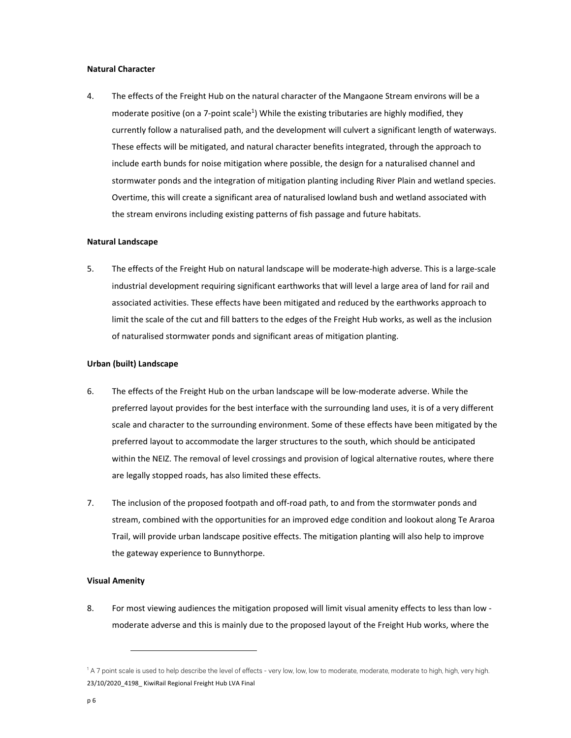## **Natural Character**

4. The effects of the Freight Hub on the natural character of the Mangaone Stream environs will be a moderate positive (on a 7-point scale<sup>1</sup>) While the existing tributaries are highly modified, they currently follow a naturalised path, and the development will culvert a significant length of waterways. These effects will be mitigated, and natural character benefits integrated, through the approach to include earth bunds for noise mitigation where possible, the design for a naturalised channel and stormwater ponds and the integration of mitigation planting including River Plain and wetland species. Overtime, this will create a significant area of naturalised lowland bush and wetland associated with the stream environs including existing patterns of fish passage and future habitats.

### **Natural Landscape**

5. The effects of the Freight Hub on natural landscape will be moderate-high adverse. This is a large-scale industrial development requiring significant earthworks that will level a large area of land for rail and associated activities. These effects have been mitigated and reduced by the earthworks approach to limit the scale of the cut and fill batters to the edges of the Freight Hub works, as well as the inclusion of naturalised stormwater ponds and significant areas of mitigation planting.

#### **Urban (built) Landscape**

- 6. The effects of the Freight Hub on the urban landscape will be low-moderate adverse. While the preferred layout provides for the best interface with the surrounding land uses, it is of a very different scale and character to the surrounding environment. Some of these effects have been mitigated by the preferred layout to accommodate the larger structures to the south, which should be anticipated within the NEIZ. The removal of level crossings and provision of logical alternative routes, where there are legally stopped roads, has also limited these effects.
- 7. The inclusion of the proposed footpath and off-road path, to and from the stormwater ponds and stream, combined with the opportunities for an improved edge condition and lookout along Te Araroa Trail, will provide urban landscape positive effects. The mitigation planting will also help to improve the gateway experience to Bunnythorpe.

## **Visual Amenity**

8. For most viewing audiences the mitigation proposed will limit visual amenity effects to less than low moderate adverse and this is mainly due to the proposed layout of the Freight Hub works, where the

<sup>23/10/2020 4198</sup> KiwiRail Regional Freight Hub LVA Final 1 A 7 point scale is used to help describe the level of effects - very low, low, low to moderate, moderate, moderate to high, high, very high.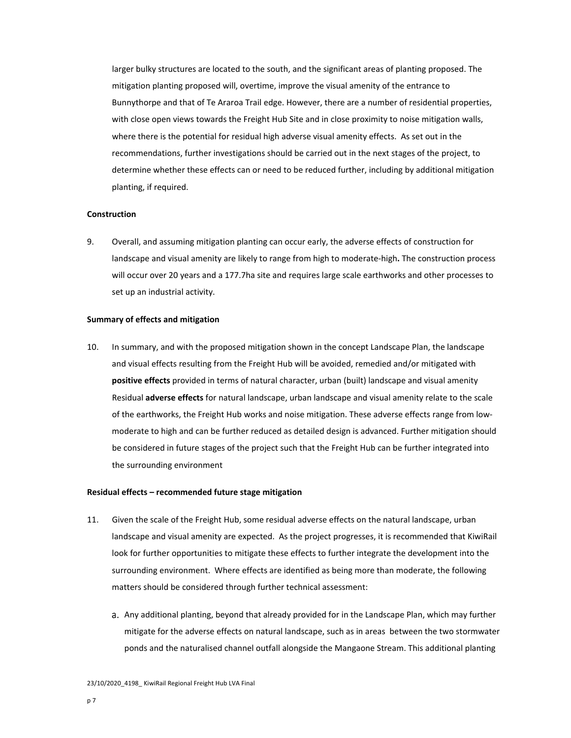larger bulky structures are located to the south, and the significant areas of planting proposed. The mitigation planting proposed will, overtime, improve the visual amenity of the entrance to Bunnythorpe and that of Te Araroa Trail edge. However, there are a number of residential properties, with close open views towards the Freight Hub Site and in close proximity to noise mitigation walls, where there is the potential for residual high adverse visual amenity effects. As set out in the recommendations, further investigations should be carried out in the next stages of the project, to determine whether these effects can or need to be reduced further, including by additional mitigation planting, if required.

# **Construction**

9. Overall, and assuming mitigation planting can occur early, the adverse effects of construction for landscape and visual amenity are likely to range from high to moderate‐high**.** The construction process will occur over 20 years and a 177.7ha site and requires large scale earthworks and other processes to set up an industrial activity.

### **Summary of effects and mitigation**

10. In summary, and with the proposed mitigation shown in the concept Landscape Plan, the landscape and visual effects resulting from the Freight Hub will be avoided, remedied and/or mitigated with **positive effects** provided in terms of natural character, urban (built) landscape and visual amenity Residual **adverse effects** for natural landscape, urban landscape and visual amenity relate to the scale of the earthworks, the Freight Hub works and noise mitigation. These adverse effects range from low‐ moderate to high and can be further reduced as detailed design is advanced. Further mitigation should be considered in future stages of the project such that the Freight Hub can be further integrated into the surrounding environment

#### **Residual effects – recommended future stage mitigation**

- 11. Given the scale of the Freight Hub, some residual adverse effects on the natural landscape, urban landscape and visual amenity are expected. As the project progresses, it is recommended that KiwiRail look for further opportunities to mitigate these effects to further integrate the development into the surrounding environment. Where effects are identified as being more than moderate, the following matters should be considered through further technical assessment:
	- a. Any additional planting, beyond that already provided for in the Landscape Plan, which may further mitigate for the adverse effects on natural landscape, such as in areas between the two stormwater ponds and the naturalised channel outfall alongside the Mangaone Stream. This additional planting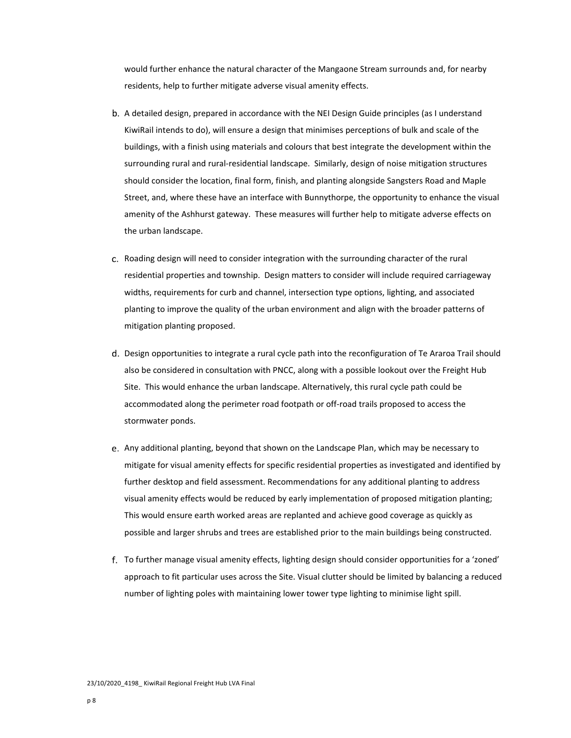would further enhance the natural character of the Mangaone Stream surrounds and, for nearby residents, help to further mitigate adverse visual amenity effects.

- b. A detailed design, prepared in accordance with the NEI Design Guide principles (as I understand KiwiRail intends to do), will ensure a design that minimises perceptions of bulk and scale of the buildings, with a finish using materials and colours that best integrate the development within the surrounding rural and rural‐residential landscape. Similarly, design of noise mitigation structures should consider the location, final form, finish, and planting alongside Sangsters Road and Maple Street, and, where these have an interface with Bunnythorpe, the opportunity to enhance the visual amenity of the Ashhurst gateway. These measures will further help to mitigate adverse effects on the urban landscape.
- c. Roading design will need to consider integration with the surrounding character of the rural residential properties and township. Design matters to consider will include required carriageway widths, requirements for curb and channel, intersection type options, lighting, and associated planting to improve the quality of the urban environment and align with the broader patterns of mitigation planting proposed.
- d. Design opportunities to integrate a rural cycle path into the reconfiguration of Te Araroa Trail should also be considered in consultation with PNCC, along with a possible lookout over the Freight Hub Site. This would enhance the urban landscape. Alternatively, this rural cycle path could be accommodated along the perimeter road footpath or off‐road trails proposed to access the stormwater ponds.
- e. Any additional planting, beyond that shown on the Landscape Plan, which may be necessary to mitigate for visual amenity effects for specific residential properties as investigated and identified by further desktop and field assessment. Recommendations for any additional planting to address visual amenity effects would be reduced by early implementation of proposed mitigation planting; This would ensure earth worked areas are replanted and achieve good coverage as quickly as possible and larger shrubs and trees are established prior to the main buildings being constructed.
- To further manage visual amenity effects, lighting design should consider opportunities for a 'zoned' approach to fit particular uses across the Site. Visual clutter should be limited by balancing a reduced number of lighting poles with maintaining lower tower type lighting to minimise light spill.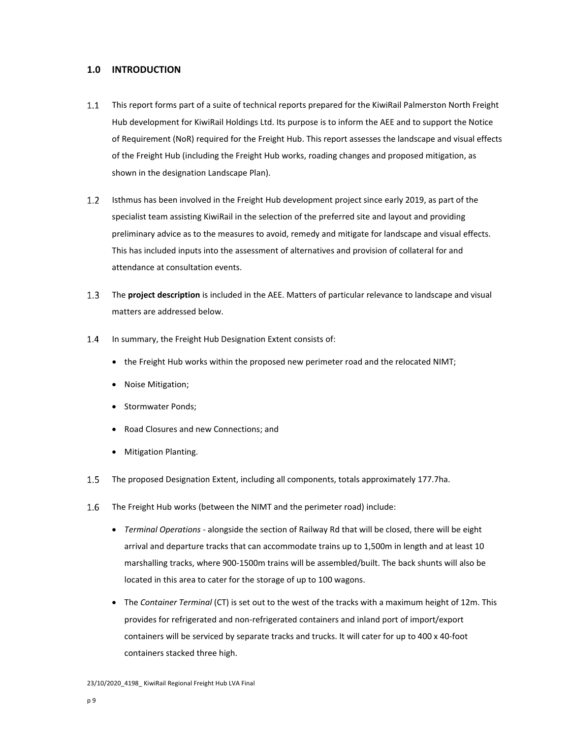# **1.0 INTRODUCTION**

- $1.1$ This report forms part of a suite of technical reports prepared for the KiwiRail Palmerston North Freight Hub development for KiwiRail Holdings Ltd. Its purpose is to inform the AEE and to support the Notice of Requirement (NoR) required for the Freight Hub. This report assesses the landscape and visual effects of the Freight Hub (including the Freight Hub works, roading changes and proposed mitigation, as shown in the designation Landscape Plan).
- $1.2$ Isthmus has been involved in the Freight Hub development project since early 2019, as part of the specialist team assisting KiwiRail in the selection of the preferred site and layout and providing preliminary advice as to the measures to avoid, remedy and mitigate for landscape and visual effects. This has included inputs into the assessment of alternatives and provision of collateral for and attendance at consultation events.
- $1.3$ The **project description** is included in the AEE. Matters of particular relevance to landscape and visual matters are addressed below.
- $1.4$ In summary, the Freight Hub Designation Extent consists of:
	- the Freight Hub works within the proposed new perimeter road and the relocated NIMT;
	- Noise Mitigation;
	- Stormwater Ponds;
	- Road Closures and new Connections; and
	- Mitigation Planting.
- $1.5$ The proposed Designation Extent, including all components, totals approximately 177.7ha.
- $1.6$ The Freight Hub works (between the NIMT and the perimeter road) include:
	- *Terminal Operations* ‐ alongside the section of Railway Rd that will be closed, there will be eight arrival and departure tracks that can accommodate trains up to 1,500m in length and at least 10 marshalling tracks, where 900‐1500m trains will be assembled/built. The back shunts will also be located in this area to cater for the storage of up to 100 wagons.
	- The *Container Terminal* (CT) is set out to the west of the tracks with a maximum height of 12m. This provides for refrigerated and non‐refrigerated containers and inland port of import/export containers will be serviced by separate tracks and trucks. It will cater for up to 400 x 40‐foot containers stacked three high.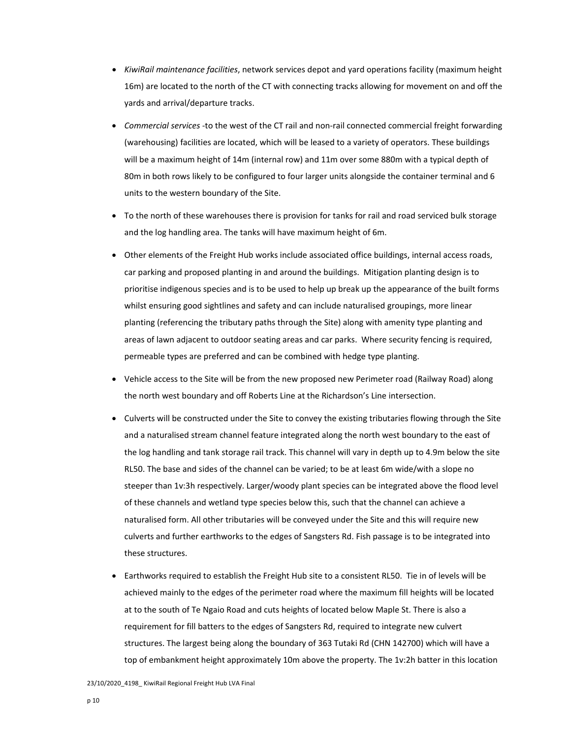- *KiwiRail maintenance facilities*, network services depot and yard operations facility (maximum height 16m) are located to the north of the CT with connecting tracks allowing for movement on and off the yards and arrival/departure tracks.
- *Commercial services* ‐to the west of the CT rail and non‐rail connected commercial freight forwarding (warehousing) facilities are located, which will be leased to a variety of operators. These buildings will be a maximum height of 14m (internal row) and 11m over some 880m with a typical depth of 80m in both rows likely to be configured to four larger units alongside the container terminal and 6 units to the western boundary of the Site.
- To the north of these warehouses there is provision for tanks for rail and road serviced bulk storage and the log handling area. The tanks will have maximum height of 6m.
- Other elements of the Freight Hub works include associated office buildings, internal access roads, car parking and proposed planting in and around the buildings. Mitigation planting design is to prioritise indigenous species and is to be used to help up break up the appearance of the built forms whilst ensuring good sightlines and safety and can include naturalised groupings, more linear planting (referencing the tributary paths through the Site) along with amenity type planting and areas of lawn adjacent to outdoor seating areas and car parks. Where security fencing is required, permeable types are preferred and can be combined with hedge type planting.
- Vehicle access to the Site will be from the new proposed new Perimeter road (Railway Road) along the north west boundary and off Roberts Line at the Richardson's Line intersection.
- Culverts will be constructed under the Site to convey the existing tributaries flowing through the Site and a naturalised stream channel feature integrated along the north west boundary to the east of the log handling and tank storage rail track. This channel will vary in depth up to 4.9m below the site RL50. The base and sides of the channel can be varied; to be at least 6m wide/with a slope no steeper than 1v:3h respectively. Larger/woody plant species can be integrated above the flood level of these channels and wetland type species below this, such that the channel can achieve a naturalised form. All other tributaries will be conveyed under the Site and this will require new culverts and further earthworks to the edges of Sangsters Rd. Fish passage is to be integrated into these structures.
- Earthworks required to establish the Freight Hub site to a consistent RL50. Tie in of levels will be achieved mainly to the edges of the perimeter road where the maximum fill heights will be located at to the south of Te Ngaio Road and cuts heights of located below Maple St. There is also a requirement for fill batters to the edges of Sangsters Rd, required to integrate new culvert structures. The largest being along the boundary of 363 Tutaki Rd (CHN 142700) which will have a top of embankment height approximately 10m above the property. The 1v:2h batter in this location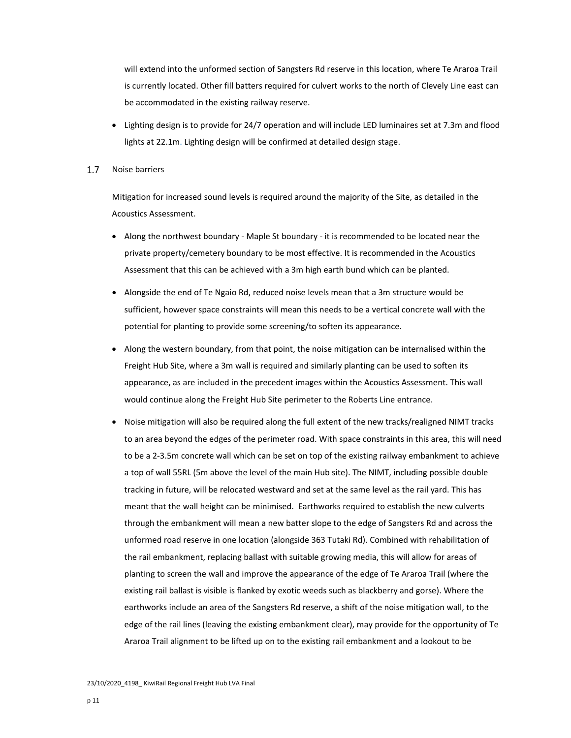will extend into the unformed section of Sangsters Rd reserve in this location, where Te Araroa Trail is currently located. Other fill batters required for culvert works to the north of Clevely Line east can be accommodated in the existing railway reserve.

 Lighting design is to provide for 24/7 operation and will include LED luminaires set at 7.3m and flood lights at 22.1m. Lighting design will be confirmed at detailed design stage.

#### $1.7$ Noise barriers

Mitigation for increased sound levels is required around the majority of the Site, as detailed in the Acoustics Assessment.

- Along the northwest boundary Maple St boundary it is recommended to be located near the private property/cemetery boundary to be most effective. It is recommended in the Acoustics Assessment that this can be achieved with a 3m high earth bund which can be planted.
- Alongside the end of Te Ngaio Rd, reduced noise levels mean that a 3m structure would be sufficient, however space constraints will mean this needs to be a vertical concrete wall with the potential for planting to provide some screening/to soften its appearance.
- Along the western boundary, from that point, the noise mitigation can be internalised within the Freight Hub Site, where a 3m wall is required and similarly planting can be used to soften its appearance, as are included in the precedent images within the Acoustics Assessment. This wall would continue along the Freight Hub Site perimeter to the Roberts Line entrance.
- Noise mitigation will also be required along the full extent of the new tracks/realigned NIMT tracks to an area beyond the edges of the perimeter road. With space constraints in this area, this will need to be a 2‐3.5m concrete wall which can be set on top of the existing railway embankment to achieve a top of wall 55RL (5m above the level of the main Hub site). The NIMT, including possible double tracking in future, will be relocated westward and set at the same level as the rail yard. This has meant that the wall height can be minimised. Earthworks required to establish the new culverts through the embankment will mean a new batter slope to the edge of Sangsters Rd and across the unformed road reserve in one location (alongside 363 Tutaki Rd). Combined with rehabilitation of the rail embankment, replacing ballast with suitable growing media, this will allow for areas of planting to screen the wall and improve the appearance of the edge of Te Araroa Trail (where the existing rail ballast is visible is flanked by exotic weeds such as blackberry and gorse). Where the earthworks include an area of the Sangsters Rd reserve, a shift of the noise mitigation wall, to the edge of the rail lines (leaving the existing embankment clear), may provide for the opportunity of Te Araroa Trail alignment to be lifted up on to the existing rail embankment and a lookout to be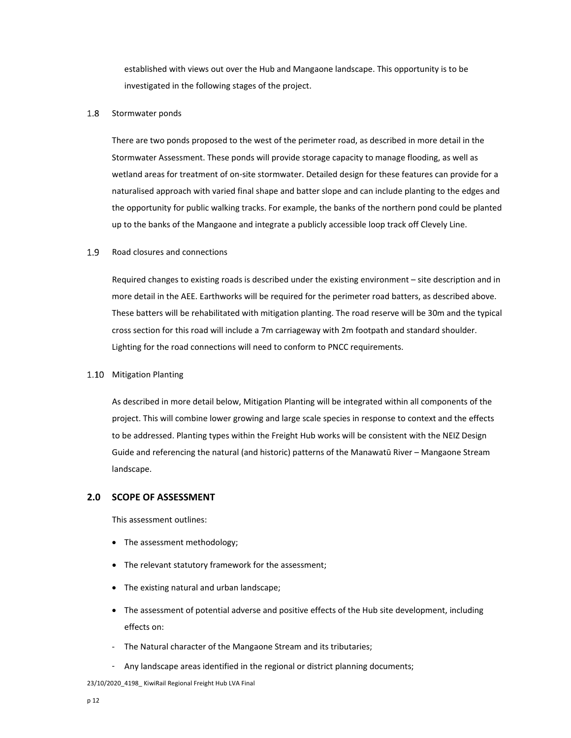established with views out over the Hub and Mangaone landscape. This opportunity is to be investigated in the following stages of the project.

#### 1.8 Stormwater ponds

There are two ponds proposed to the west of the perimeter road, as described in more detail in the Stormwater Assessment. These ponds will provide storage capacity to manage flooding, as well as wetland areas for treatment of on‐site stormwater. Detailed design for these features can provide for a naturalised approach with varied final shape and batter slope and can include planting to the edges and the opportunity for public walking tracks. For example, the banks of the northern pond could be planted up to the banks of the Mangaone and integrate a publicly accessible loop track off Clevely Line.

#### 1.9 Road closures and connections

Required changes to existing roads is described under the existing environment – site description and in more detail in the AEE. Earthworks will be required for the perimeter road batters, as described above. These batters will be rehabilitated with mitigation planting. The road reserve will be 30m and the typical cross section for this road will include a 7m carriageway with 2m footpath and standard shoulder. Lighting for the road connections will need to conform to PNCC requirements.

### 1.10 Mitigation Planting

As described in more detail below, Mitigation Planting will be integrated within all components of the project. This will combine lower growing and large scale species in response to context and the effects to be addressed. Planting types within the Freight Hub works will be consistent with the NEIZ Design Guide and referencing the natural (and historic) patterns of the Manawatū River – Mangaone Stream landscape.

# **2.0 SCOPE OF ASSESSMENT**

This assessment outlines:

- The assessment methodology;
- The relevant statutory framework for the assessment;
- The existing natural and urban landscape;
- The assessment of potential adverse and positive effects of the Hub site development, including effects on:
- ‐ The Natural character of the Mangaone Stream and its tributaries;
- ‐ Any landscape areas identified in the regional or district planning documents;

23/10/2020\_4198\_ KiwiRail Regional Freight Hub LVA Final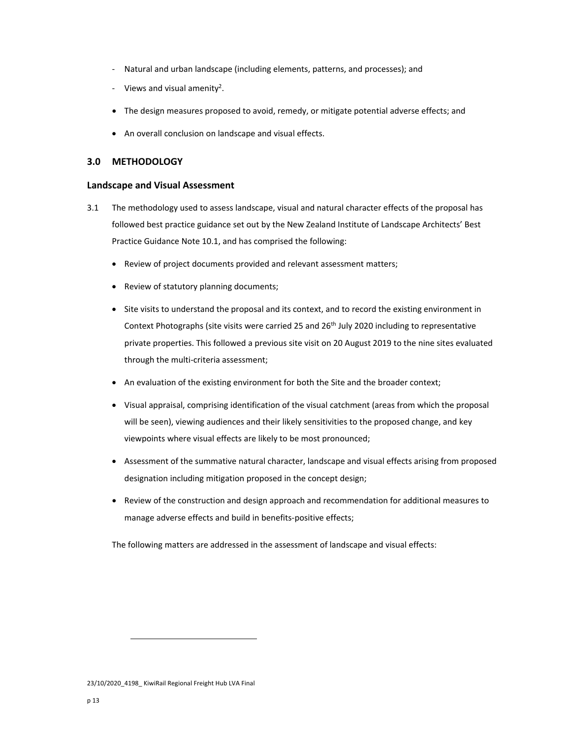- ‐ Natural and urban landscape (including elements, patterns, and processes); and
- ‐ Views and visual amenity2.
- The design measures proposed to avoid, remedy, or mitigate potential adverse effects; and
- An overall conclusion on landscape and visual effects.

# **3.0 METHODOLOGY**

## **Landscape and Visual Assessment**

- 3.1 The methodology used to assess landscape, visual and natural character effects of the proposal has followed best practice guidance set out by the New Zealand Institute of Landscape Architects' Best Practice Guidance Note 10.1, and has comprised the following:
	- Review of project documents provided and relevant assessment matters;
	- Review of statutory planning documents;
	- Site visits to understand the proposal and its context, and to record the existing environment in Context Photographs (site visits were carried 25 and 26<sup>th</sup> July 2020 including to representative private properties. This followed a previous site visit on 20 August 2019 to the nine sites evaluated through the multi‐criteria assessment;
	- An evaluation of the existing environment for both the Site and the broader context;
	- Visual appraisal, comprising identification of the visual catchment (areas from which the proposal will be seen), viewing audiences and their likely sensitivities to the proposed change, and key viewpoints where visual effects are likely to be most pronounced;
	- Assessment of the summative natural character, landscape and visual effects arising from proposed designation including mitigation proposed in the concept design;
	- Review of the construction and design approach and recommendation for additional measures to manage adverse effects and build in benefits‐positive effects;

The following matters are addressed in the assessment of landscape and visual effects:

<sup>23/10/2020 4198</sup> KiwiRail Regional Freight Hub LVA Final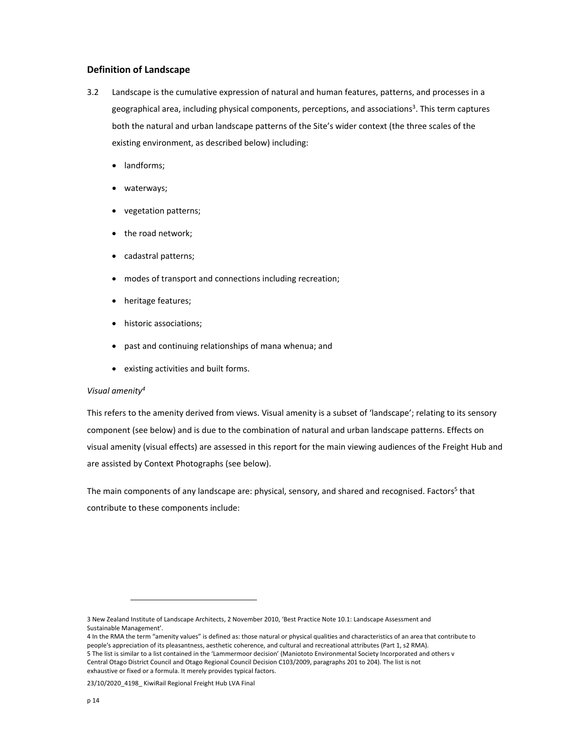## **Definition of Landscape**

- 3.2 Landscape is the cumulative expression of natural and human features, patterns, and processes in a geographical area, including physical components, perceptions, and associations<sup>3</sup>. This term captures both the natural and urban landscape patterns of the Site's wider context (the three scales of the existing environment, as described below) including:
	- landforms;
	- waterways;
	- vegetation patterns;
	- the road network;
	- cadastral patterns;
	- modes of transport and connections including recreation;
	- heritage features;
	- historic associations;
	- past and continuing relationships of mana whenua; and
	- existing activities and built forms.

## *Visual amenity4*

This refers to the amenity derived from views. Visual amenity is a subset of 'landscape'; relating to its sensory component (see below) and is due to the combination of natural and urban landscape patterns. Effects on visual amenity (visual effects) are assessed in this report for the main viewing audiences of the Freight Hub and are assisted by Context Photographs (see below).

The main components of any landscape are: physical, sensory, and shared and recognised. Factors<sup>5</sup> that contribute to these components include:

23/10/2020\_4198\_ KiwiRail Regional Freight Hub LVA Final

<sup>3</sup> New Zealand Institute of Landscape Architects, 2 November 2010, 'Best Practice Note 10.1: Landscape Assessment and Sustainable Management'.

<sup>4</sup> In the RMA the term "amenity values" is defined as: those natural or physical qualities and characteristics of an area that contribute to people's appreciation of its pleasantness, aesthetic coherence, and cultural and recreational attributes (Part 1, s2 RMA). 5 The list is similar to a list contained in the 'Lammermoor decision' (Maniototo Environmental Society Incorporated and others v Central Otago District Council and Otago Regional Council Decision C103/2009, paragraphs 201 to 204). The list is not exhaustive or fixed or a formula. It merely provides typical factors.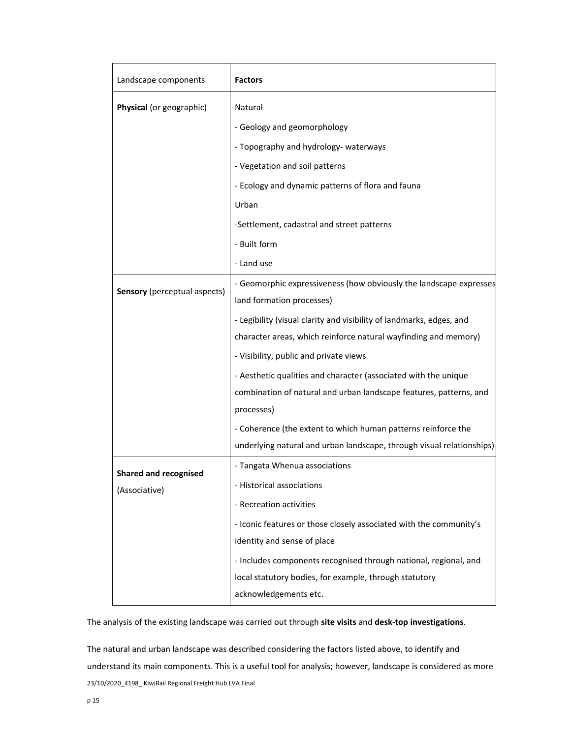| Landscape components                | <b>Factors</b>                                                        |  |  |  |
|-------------------------------------|-----------------------------------------------------------------------|--|--|--|
| Physical (or geographic)            | Natural                                                               |  |  |  |
|                                     | - Geology and geomorphology                                           |  |  |  |
|                                     | - Topography and hydrology- waterways                                 |  |  |  |
|                                     | - Vegetation and soil patterns                                        |  |  |  |
|                                     | - Ecology and dynamic patterns of flora and fauna                     |  |  |  |
|                                     | Urban                                                                 |  |  |  |
|                                     | -Settlement, cadastral and street patterns                            |  |  |  |
|                                     | - Built form                                                          |  |  |  |
|                                     | - Land use                                                            |  |  |  |
|                                     | - Geomorphic expressiveness (how obviously the landscape expresses    |  |  |  |
| <b>Sensory</b> (perceptual aspects) | land formation processes)                                             |  |  |  |
|                                     | - Legibility (visual clarity and visibility of landmarks, edges, and  |  |  |  |
|                                     | character areas, which reinforce natural wayfinding and memory)       |  |  |  |
|                                     | - Visibility, public and private views                                |  |  |  |
|                                     | - Aesthetic qualities and character (associated with the unique       |  |  |  |
|                                     | combination of natural and urban landscape features, patterns, and    |  |  |  |
|                                     | processes)                                                            |  |  |  |
|                                     | - Coherence (the extent to which human patterns reinforce the         |  |  |  |
|                                     | underlying natural and urban landscape, through visual relationships) |  |  |  |
| <b>Shared and recognised</b>        | - Tangata Whenua associations                                         |  |  |  |
| (Associative)                       | - Historical associations                                             |  |  |  |
|                                     | - Recreation activities                                               |  |  |  |
|                                     | - Iconic features or those closely associated with the community's    |  |  |  |
|                                     | identity and sense of place                                           |  |  |  |
|                                     | - Includes components recognised through national, regional, and      |  |  |  |
|                                     | local statutory bodies, for example, through statutory                |  |  |  |
|                                     | acknowledgements etc.                                                 |  |  |  |

The analysis of the existing landscape was carried out through **site visits** and **desk‐top investigations**.

23/10/2020\_4198\_ KiwiRail Regional Freight Hub LVA Final The natural and urban landscape was described considering the factors listed above, to identify and understand its main components. This is a useful tool for analysis; however, landscape is considered as more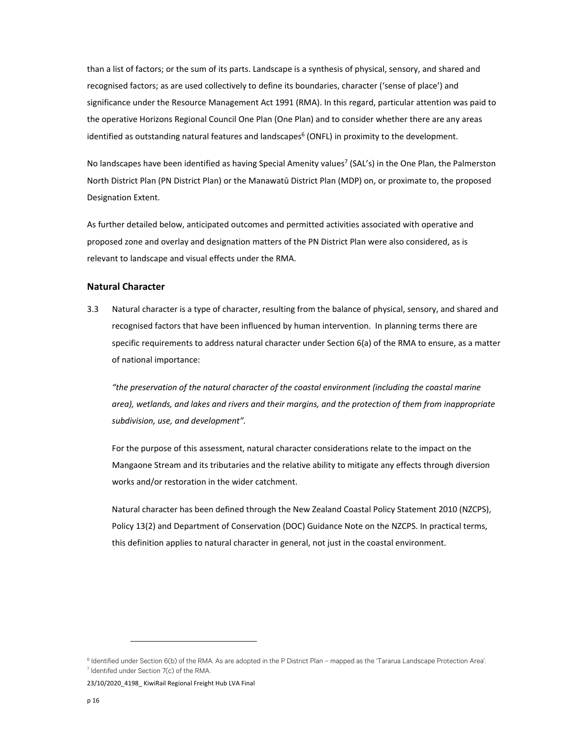than a list of factors; or the sum of its parts. Landscape is a synthesis of physical, sensory, and shared and recognised factors; as are used collectively to define its boundaries, character ('sense of place') and significance under the Resource Management Act 1991 (RMA). In this regard, particular attention was paid to the operative Horizons Regional Council One Plan (One Plan) and to consider whether there are any areas identified as outstanding natural features and landscapes<sup>6</sup> (ONFL) in proximity to the development.

No landscapes have been identified as having Special Amenity values<sup>7</sup> (SAL's) in the One Plan, the Palmerston North District Plan (PN District Plan) or the Manawatū District Plan (MDP) on, or proximate to, the proposed Designation Extent.

As further detailed below, anticipated outcomes and permitted activities associated with operative and proposed zone and overlay and designation matters of the PN District Plan were also considered, as is relevant to landscape and visual effects under the RMA.

# **Natural Character**

3.3 Natural character is a type of character, resulting from the balance of physical, sensory, and shared and recognised factors that have been influenced by human intervention. In planning terms there are specific requirements to address natural character under Section 6(a) of the RMA to ensure, as a matter of national importance:

*"the preservation of the natural character of the coastal environment (including the coastal marine area), wetlands, and lakes and rivers and their margins, and the protection of them from inappropriate subdivision, use, and development".*

For the purpose of this assessment, natural character considerations relate to the impact on the Mangaone Stream and its tributaries and the relative ability to mitigate any effects through diversion works and/or restoration in the wider catchment.

Natural character has been defined through the New Zealand Coastal Policy Statement 2010 (NZCPS), Policy 13(2) and Department of Conservation (DOC) Guidance Note on the NZCPS. In practical terms, this definition applies to natural character in general, not just in the coastal environment.

23/10/2020 4198 KiwiRail Regional Freight Hub LVA Final

<sup>&</sup>lt;sup>6</sup> Identified under Section 6(b) of the RMA. As are adopted in the P District Plan – mapped as the 'Tararua Landscape Protection Area'.<br><sup>7</sup> Identifed under Section 7(c) of the RMA  $7$  Identifed under Section  $7(c)$  of the RMA.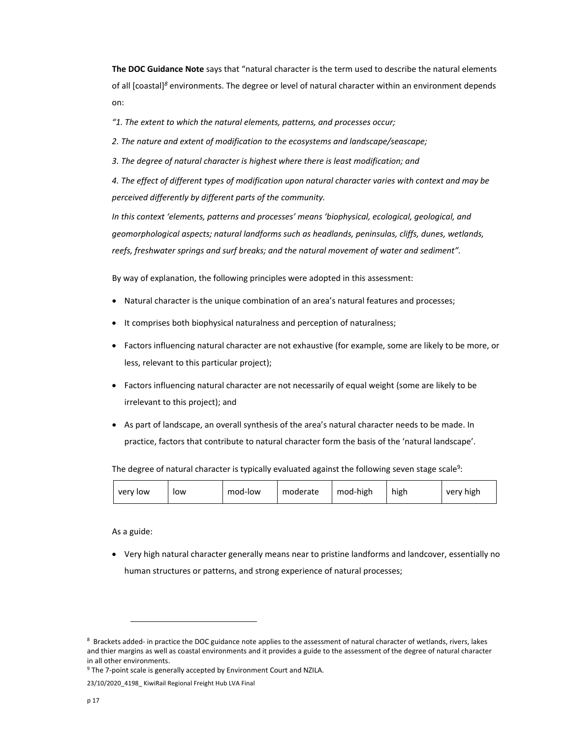**The DOC Guidance Note** says that "natural character is the term used to describe the natural elements of all [coastal]*<sup>8</sup>* environments. The degree or level of natural character within an environment depends on:

*"1. The extent to which the natural elements, patterns, and processes occur;*

*2. The nature and extent of modification to the ecosystems and landscape/seascape;*

*3. The degree of natural character is highest where there is least modification; and*

*4. The effect of different types of modification upon natural character varies with context and may be perceived differently by different parts of the community.*

*In this context 'elements, patterns and processes' means 'biophysical, ecological, geological, and geomorphological aspects; natural landforms such as headlands, peninsulas, cliffs, dunes, wetlands, reefs, freshwater springs and surf breaks; and the natural movement of water and sediment".*

By way of explanation, the following principles were adopted in this assessment:

- Natural character is the unique combination of an area's natural features and processes;
- It comprises both biophysical naturalness and perception of naturalness;
- Factors influencing natural character are not exhaustive (for example, some are likely to be more, or less, relevant to this particular project);
- Factors influencing natural character are not necessarily of equal weight (some are likely to be irrelevant to this project); and
- As part of landscape, an overall synthesis of the area's natural character needs to be made. In practice, factors that contribute to natural character form the basis of the 'natural landscape'.

The degree of natural character is typically evaluated against the following seven stage scale<sup>9</sup>:

|  | very low | low | mod-low | moderate | mod-high | high | very high |
|--|----------|-----|---------|----------|----------|------|-----------|
|--|----------|-----|---------|----------|----------|------|-----------|

As a guide:

 Very high natural character generally means near to pristine landforms and landcover, essentially no human structures or patterns, and strong experience of natural processes;

<sup>8</sup> Brackets added- in practice the DOC guidance note applies to the assessment of natural character of wetlands, rivers, lakes and thier margins as well as coastal environments and it provides a guide to the assessment of the degree of natural character in all other environments.

<sup>&</sup>lt;sup>9</sup> The 7-point scale is generally accepted by Environment Court and NZILA.

<sup>23/10/2020</sup>\_4198\_ KiwiRail Regional Freight Hub LVA Final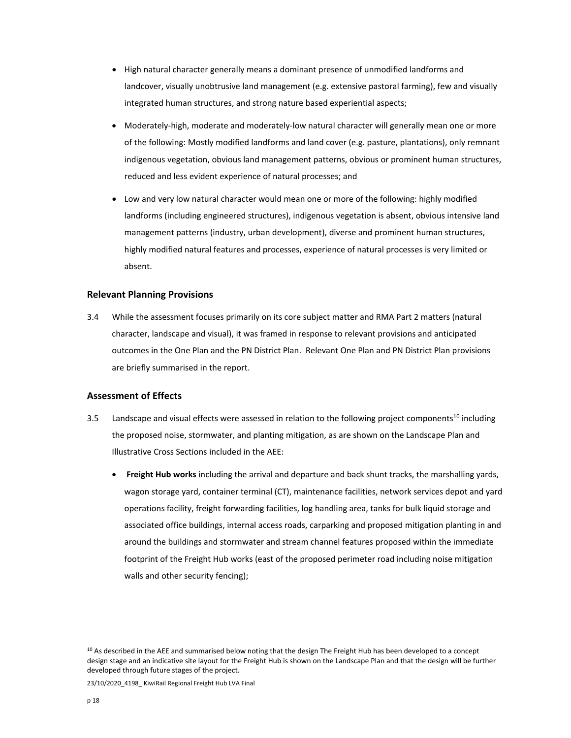- High natural character generally means a dominant presence of unmodified landforms and landcover, visually unobtrusive land management (e.g. extensive pastoral farming), few and visually integrated human structures, and strong nature based experiential aspects;
- Moderately-high, moderate and moderately-low natural character will generally mean one or more of the following: Mostly modified landforms and land cover (e.g. pasture, plantations), only remnant indigenous vegetation, obvious land management patterns, obvious or prominent human structures, reduced and less evident experience of natural processes; and
- Low and very low natural character would mean one or more of the following: highly modified landforms (including engineered structures), indigenous vegetation is absent, obvious intensive land management patterns (industry, urban development), diverse and prominent human structures, highly modified natural features and processes, experience of natural processes is very limited or absent.

### **Relevant Planning Provisions**

3.4 While the assessment focuses primarily on its core subject matter and RMA Part 2 matters (natural character, landscape and visual), it was framed in response to relevant provisions and anticipated outcomes in the One Plan and the PN District Plan. Relevant One Plan and PN District Plan provisions are briefly summarised in the report.

## **Assessment of Effects**

- 3.5 Landscape and visual effects were assessed in relation to the following project components<sup>10</sup> including the proposed noise, stormwater, and planting mitigation, as are shown on the Landscape Plan and Illustrative Cross Sections included in the AEE:
	- **Freight Hub works** including the arrival and departure and back shunt tracks, the marshalling yards, wagon storage yard, container terminal (CT), maintenance facilities, network services depot and yard operations facility, freight forwarding facilities, log handling area, tanks for bulk liquid storage and associated office buildings, internal access roads, carparking and proposed mitigation planting in and around the buildings and stormwater and stream channel features proposed within the immediate footprint of the Freight Hub works (east of the proposed perimeter road including noise mitigation walls and other security fencing);

23/10/2020 4198 KiwiRail Regional Freight Hub LVA Final

 $10$  As described in the AEE and summarised below noting that the design The Freight Hub has been developed to a concept design stage and an indicative site layout for the Freight Hub is shown on the Landscape Plan and that the design will be further developed through future stages of the project.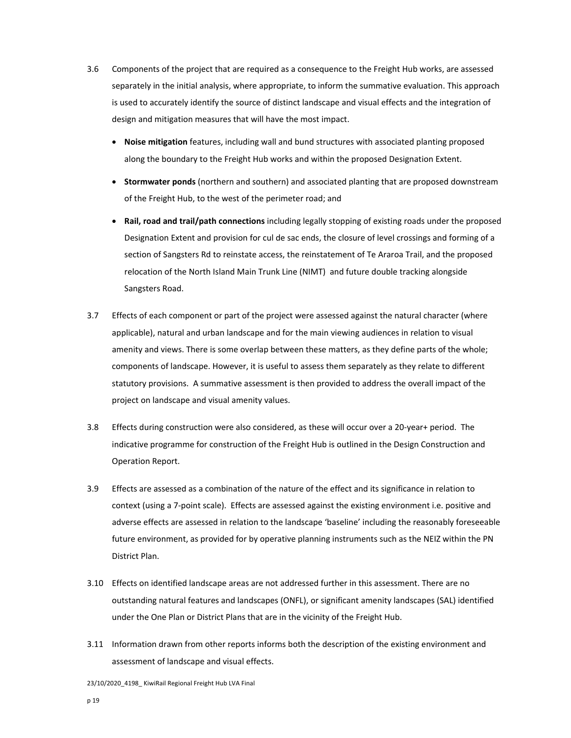- 3.6 Components of the project that are required as a consequence to the Freight Hub works, are assessed separately in the initial analysis, where appropriate, to inform the summative evaluation. This approach is used to accurately identify the source of distinct landscape and visual effects and the integration of design and mitigation measures that will have the most impact.
	- **Noise mitigation** features, including wall and bund structures with associated planting proposed along the boundary to the Freight Hub works and within the proposed Designation Extent.
	- **Stormwater ponds** (northern and southern) and associated planting that are proposed downstream of the Freight Hub, to the west of the perimeter road; and
	- **Rail, road and trail/path connections** including legally stopping of existing roads under the proposed Designation Extent and provision for cul de sac ends, the closure of level crossings and forming of a section of Sangsters Rd to reinstate access, the reinstatement of Te Araroa Trail, and the proposed relocation of the North Island Main Trunk Line (NIMT) and future double tracking alongside Sangsters Road.
- 3.7 Effects of each component or part of the project were assessed against the natural character (where applicable), natural and urban landscape and for the main viewing audiences in relation to visual amenity and views. There is some overlap between these matters, as they define parts of the whole; components of landscape. However, it is useful to assess them separately as they relate to different statutory provisions. A summative assessment is then provided to address the overall impact of the project on landscape and visual amenity values.
- 3.8 Effects during construction were also considered, as these will occur over a 20‐year+ period. The indicative programme for construction of the Freight Hub is outlined in the Design Construction and Operation Report.
- 3.9 Effects are assessed as a combination of the nature of the effect and its significance in relation to context (using a 7‐point scale). Effects are assessed against the existing environment i.e. positive and adverse effects are assessed in relation to the landscape 'baseline' including the reasonably foreseeable future environment, as provided for by operative planning instruments such as the NEIZ within the PN District Plan.
- 3.10 Effects on identified landscape areas are not addressed further in this assessment. There are no outstanding natural features and landscapes (ONFL), or significant amenity landscapes (SAL) identified under the One Plan or District Plans that are in the vicinity of the Freight Hub.
- 3.11 Information drawn from other reports informs both the description of the existing environment and assessment of landscape and visual effects.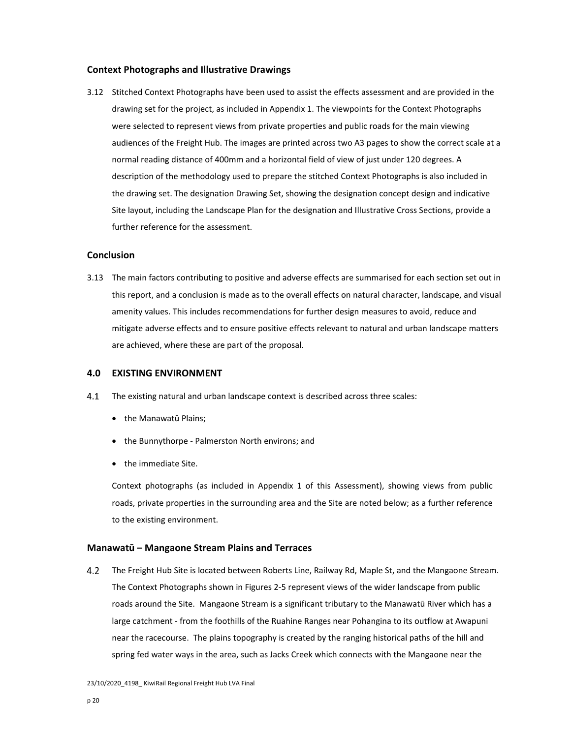### **Context Photographs and Illustrative Drawings**

3.12 Stitched Context Photographs have been used to assist the effects assessment and are provided in the drawing set for the project, as included in Appendix 1. The viewpoints for the Context Photographs were selected to represent views from private properties and public roads for the main viewing audiences of the Freight Hub. The images are printed across two A3 pages to show the correct scale at a normal reading distance of 400mm and a horizontal field of view of just under 120 degrees. A description of the methodology used to prepare the stitched Context Photographs is also included in the drawing set. The designation Drawing Set, showing the designation concept design and indicative Site layout, including the Landscape Plan for the designation and Illustrative Cross Sections, provide a further reference for the assessment.

## **Conclusion**

3.13 The main factors contributing to positive and adverse effects are summarised for each section set out in this report, and a conclusion is made as to the overall effects on natural character, landscape, and visual amenity values. This includes recommendations for further design measures to avoid, reduce and mitigate adverse effects and to ensure positive effects relevant to natural and urban landscape matters are achieved, where these are part of the proposal.

## **4.0 EXISTING ENVIRONMENT**

- The existing natural and urban landscape context is described across three scales:
	- the Manawatū Plains:
	- the Bunnythorpe Palmerston North environs; and
	- the immediate Site.

Context photographs (as included in Appendix 1 of this Assessment), showing views from public roads, private properties in the surrounding area and the Site are noted below; as a further reference to the existing environment.

## **Manawatū – Mangaone Stream Plains and Terraces**

The Freight Hub Site is located between Roberts Line, Railway Rd, Maple St, and the Mangaone Stream.  $4.2$ The Context Photographs shown in Figures 2‐5 represent views of the wider landscape from public roads around the Site. Mangaone Stream is a significant tributary to the Manawatū River which has a large catchment ‐ from the foothills of the Ruahine Ranges near Pohangina to its outflow at Awapuni near the racecourse. The plains topography is created by the ranging historical paths of the hill and spring fed water ways in the area, such as Jacks Creek which connects with the Mangaone near the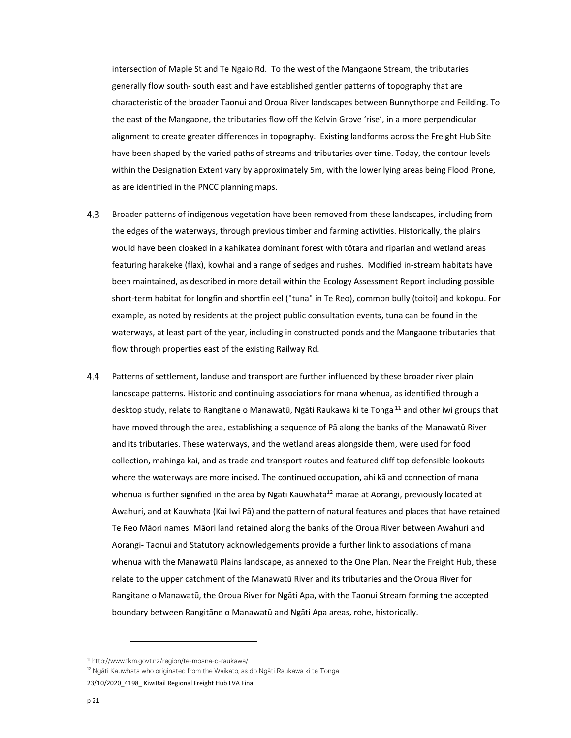intersection of Maple St and Te Ngaio Rd. To the west of the Mangaone Stream, the tributaries generally flow south‐ south east and have established gentler patterns of topography that are characteristic of the broader Taonui and Oroua River landscapes between Bunnythorpe and Feilding. To the east of the Mangaone, the tributaries flow off the Kelvin Grove 'rise', in a more perpendicular alignment to create greater differences in topography. Existing landforms across the Freight Hub Site have been shaped by the varied paths of streams and tributaries over time. Today, the contour levels within the Designation Extent vary by approximately 5m, with the lower lying areas being Flood Prone, as are identified in the PNCC planning maps.

- $4.3$ Broader patterns of indigenous vegetation have been removed from these landscapes, including from the edges of the waterways, through previous timber and farming activities. Historically, the plains would have been cloaked in a kahikatea dominant forest with tōtara and riparian and wetland areas featuring harakeke (flax), kowhai and a range of sedges and rushes. Modified in‐stream habitats have been maintained, as described in more detail within the Ecology Assessment Report including possible short-term habitat for longfin and shortfin eel ("tuna" in Te Reo), common bully (toitoi) and kokopu. For example, as noted by residents at the project public consultation events, tuna can be found in the waterways, at least part of the year, including in constructed ponds and the Mangaone tributaries that flow through properties east of the existing Railway Rd.
- Patterns of settlement, landuse and transport are further influenced by these broader river plain  $4.4$ landscape patterns. Historic and continuing associations for mana whenua, as identified through a desktop study, relate to Rangitane o Manawatū, Ngāti Raukawa ki te Tonga <sup>11</sup> and other iwi groups that have moved through the area, establishing a sequence of Pā along the banks of the Manawatū River and its tributaries. These waterways, and the wetland areas alongside them, were used for food collection, mahinga kai, and as trade and transport routes and featured cliff top defensible lookouts where the waterways are more incised. The continued occupation, ahi kā and connection of mana whenua is further signified in the area by Ngāti Kauwhata<sup>12</sup> marae at Aorangi, previously located at Awahuri, and at Kauwhata (Kai Iwi Pā) and the pattern of natural features and places that have retained Te Reo Māori names. Māori land retained along the banks of the Oroua River between Awahuri and Aorangi‐ Taonui and Statutory acknowledgements provide a further link to associations of mana whenua with the Manawatū Plains landscape, as annexed to the One Plan. Near the Freight Hub, these relate to the upper catchment of the Manawatū River and its tributaries and the Oroua River for Rangitane o Manawatū, the Oroua River for Ngāti Apa, with the Taonui Stream forming the accepted boundary between Rangitāne o Manawatū and Ngāti Apa areas, rohe, historically.

<sup>11</sup> http://www.tkm.govt.nz/region/te-moana-o-raukawa/

<sup>&</sup>lt;sup>12</sup> Ngāti Kauwhata who originated from the Waikato, as do Ngāti Raukawa ki te Tonga

<sup>23/10/2020 4198</sup> KiwiRail Regional Freight Hub LVA Final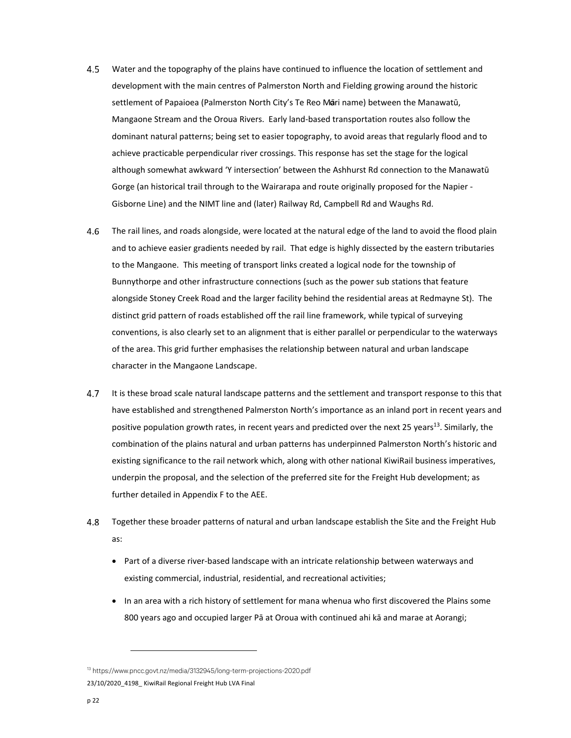- $4.5$ Water and the topography of the plains have continued to influence the location of settlement and development with the main centres of Palmerston North and Fielding growing around the historic settlement of Papaioea (Palmerston North City's Te Reo Mari name) between the Manawatū, Mangaone Stream and the Oroua Rivers. Early land‐based transportation routes also follow the dominant natural patterns; being set to easier topography, to avoid areas that regularly flood and to achieve practicable perpendicular river crossings. This response has set the stage for the logical although somewhat awkward 'Y intersection' between the Ashhurst Rd connection to the Manawatū Gorge (an historical trail through to the Wairarapa and route originally proposed for the Napier ‐ Gisborne Line) and the NIMT line and (later) Railway Rd, Campbell Rd and Waughs Rd.
- 4.6 The rail lines, and roads alongside, were located at the natural edge of the land to avoid the flood plain and to achieve easier gradients needed by rail. That edge is highly dissected by the eastern tributaries to the Mangaone. This meeting of transport links created a logical node for the township of Bunnythorpe and other infrastructure connections (such as the power sub stations that feature alongside Stoney Creek Road and the larger facility behind the residential areas at Redmayne St). The distinct grid pattern of roads established off the rail line framework, while typical of surveying conventions, is also clearly set to an alignment that is either parallel or perpendicular to the waterways of the area. This grid further emphasises the relationship between natural and urban landscape character in the Mangaone Landscape.
- 4.7 It is these broad scale natural landscape patterns and the settlement and transport response to this that have established and strengthened Palmerston North's importance as an inland port in recent years and positive population growth rates, in recent years and predicted over the next 25 years<sup>13</sup>. Similarly, the combination of the plains natural and urban patterns has underpinned Palmerston North's historic and existing significance to the rail network which, along with other national KiwiRail business imperatives, underpin the proposal, and the selection of the preferred site for the Freight Hub development; as further detailed in Appendix F to the AEE.
- 4.8 Together these broader patterns of natural and urban landscape establish the Site and the Freight Hub as:
	- Part of a diverse river-based landscape with an intricate relationship between waterways and existing commercial, industrial, residential, and recreational activities;
	- In an area with a rich history of settlement for mana whenua who first discovered the Plains some 800 years ago and occupied larger Pā at Oroua with continued ahi kā and marae at Aorangi;

<sup>23/10/2020 4198</sup> KiwiRail Regional Freight Hub LVA Final 13 https://www.pncc.govt.nz/media/3132945/long-term-projections-2020.pdf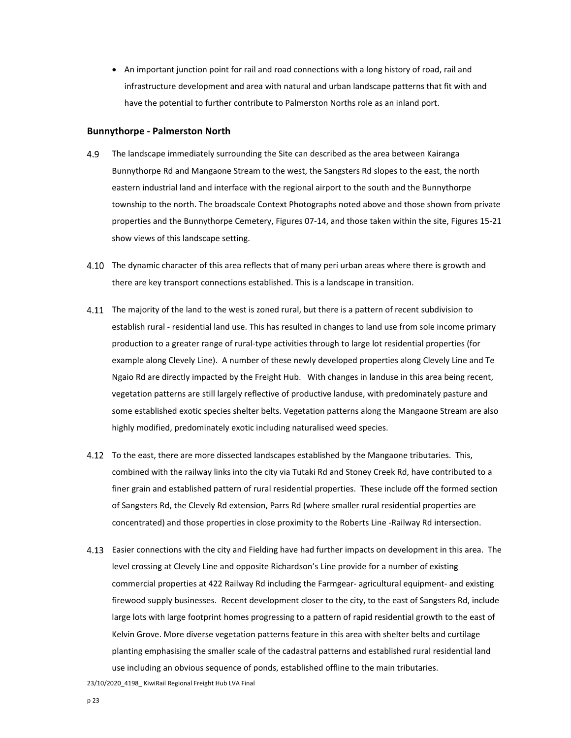• An important junction point for rail and road connections with a long history of road, rail and infrastructure development and area with natural and urban landscape patterns that fit with and have the potential to further contribute to Palmerston Norths role as an inland port.

#### **Bunnythorpe ‐ Palmerston North**

- 4.9 The landscape immediately surrounding the Site can described as the area between Kairanga Bunnythorpe Rd and Mangaone Stream to the west, the Sangsters Rd slopes to the east, the north eastern industrial land and interface with the regional airport to the south and the Bunnythorpe township to the north. The broadscale Context Photographs noted above and those shown from private properties and the Bunnythorpe Cemetery, Figures 07‐14, and those taken within the site, Figures 15‐21 show views of this landscape setting.
- 4.10 The dynamic character of this area reflects that of many peri urban areas where there is growth and there are key transport connections established. This is a landscape in transition.
- 4.11 The majority of the land to the west is zoned rural, but there is a pattern of recent subdivision to establish rural ‐ residential land use. This has resulted in changes to land use from sole income primary production to a greater range of rural‐type activities through to large lot residential properties (for example along Clevely Line). A number of these newly developed properties along Clevely Line and Te Ngaio Rd are directly impacted by the Freight Hub. With changes in landuse in this area being recent, vegetation patterns are still largely reflective of productive landuse, with predominately pasture and some established exotic species shelter belts. Vegetation patterns along the Mangaone Stream are also highly modified, predominately exotic including naturalised weed species.
- To the east, there are more dissected landscapes established by the Mangaone tributaries. This, combined with the railway links into the city via Tutaki Rd and Stoney Creek Rd, have contributed to a finer grain and established pattern of rural residential properties. These include off the formed section of Sangsters Rd, the Clevely Rd extension, Parrs Rd (where smaller rural residential properties are concentrated) and those properties in close proximity to the Roberts Line ‐Railway Rd intersection.
- Easier connections with the city and Fielding have had further impacts on development in this area. The level crossing at Clevely Line and opposite Richardson's Line provide for a number of existing commercial properties at 422 Railway Rd including the Farmgear- agricultural equipment- and existing firewood supply businesses. Recent development closer to the city, to the east of Sangsters Rd, include large lots with large footprint homes progressing to a pattern of rapid residential growth to the east of Kelvin Grove. More diverse vegetation patterns feature in this area with shelter belts and curtilage planting emphasising the smaller scale of the cadastral patterns and established rural residential land use including an obvious sequence of ponds, established offline to the main tributaries.

23/10/2020 4198 KiwiRail Regional Freight Hub LVA Final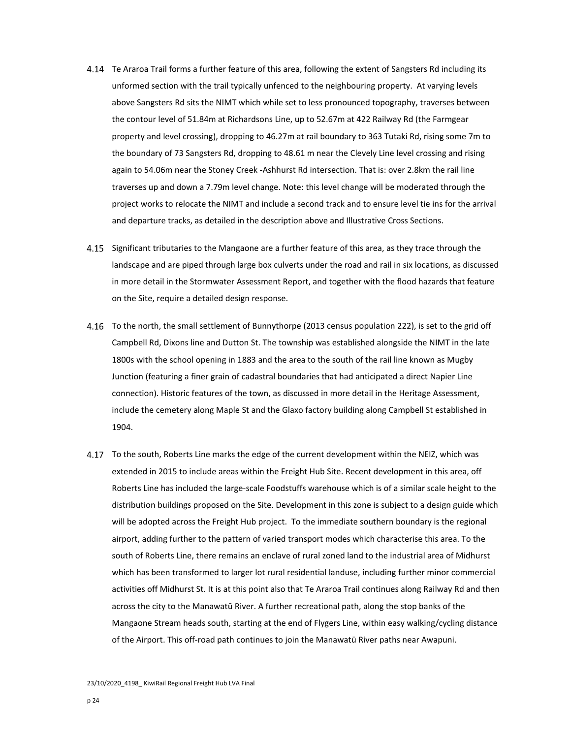- 4.14 Te Araroa Trail forms a further feature of this area, following the extent of Sangsters Rd including its unformed section with the trail typically unfenced to the neighbouring property. At varying levels above Sangsters Rd sits the NIMT which while set to less pronounced topography, traverses between the contour level of 51.84m at Richardsons Line, up to 52.67m at 422 Railway Rd (the Farmgear property and level crossing), dropping to 46.27m at rail boundary to 363 Tutaki Rd, rising some 7m to the boundary of 73 Sangsters Rd, dropping to 48.61 m near the Clevely Line level crossing and rising again to 54.06m near the Stoney Creek ‐Ashhurst Rd intersection. That is: over 2.8km the rail line traverses up and down a 7.79m level change. Note: this level change will be moderated through the project works to relocate the NIMT and include a second track and to ensure level tie ins for the arrival and departure tracks, as detailed in the description above and Illustrative Cross Sections.
- 4.15 Significant tributaries to the Mangaone are a further feature of this area, as they trace through the landscape and are piped through large box culverts under the road and rail in six locations, as discussed in more detail in the Stormwater Assessment Report, and together with the flood hazards that feature on the Site, require a detailed design response.
- To the north, the small settlement of Bunnythorpe (2013 census population 222), is set to the grid off Campbell Rd, Dixons line and Dutton St. The township was established alongside the NIMT in the late 1800s with the school opening in 1883 and the area to the south of the rail line known as Mugby Junction (featuring a finer grain of cadastral boundaries that had anticipated a direct Napier Line connection). Historic features of the town, as discussed in more detail in the Heritage Assessment, include the cemetery along Maple St and the Glaxo factory building along Campbell St established in 1904.
- To the south, Roberts Line marks the edge of the current development within the NEIZ, which was extended in 2015 to include areas within the Freight Hub Site. Recent development in this area, off Roberts Line has included the large‐scale Foodstuffs warehouse which is of a similar scale height to the distribution buildings proposed on the Site. Development in this zone is subject to a design guide which will be adopted across the Freight Hub project. To the immediate southern boundary is the regional airport, adding further to the pattern of varied transport modes which characterise this area. To the south of Roberts Line, there remains an enclave of rural zoned land to the industrial area of Midhurst which has been transformed to larger lot rural residential landuse, including further minor commercial activities off Midhurst St. It is at this point also that Te Araroa Trail continues along Railway Rd and then across the city to the Manawatū River. A further recreational path, along the stop banks of the Mangaone Stream heads south, starting at the end of Flygers Line, within easy walking/cycling distance of the Airport. This off‐road path continues to join the Manawatū River paths near Awapuni.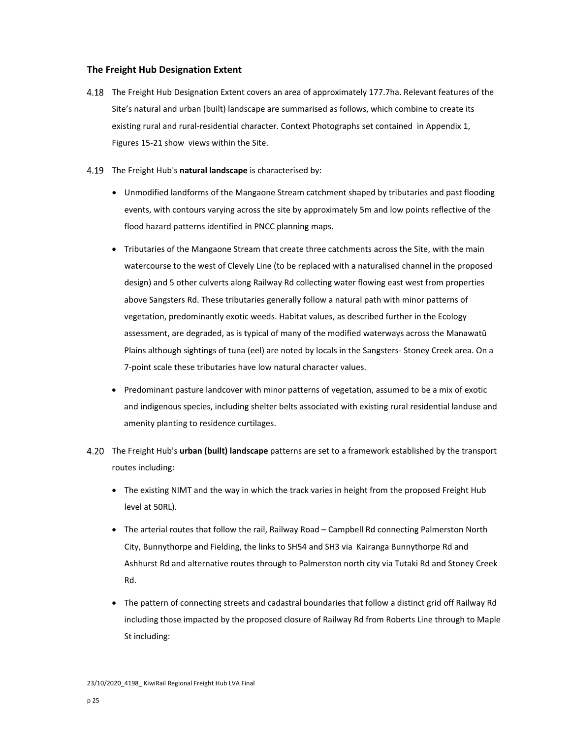## **The Freight Hub Designation Extent**

- The Freight Hub Designation Extent covers an area of approximately 177.7ha. Relevant features of the Site's natural and urban (built) landscape are summarised as follows, which combine to create its existing rural and rural-residential character. Context Photographs set contained in Appendix 1, Figures 15‐21 show views within the Site.
- The Freight Hub's **natural landscape** is characterised by:
	- Unmodified landforms of the Mangaone Stream catchment shaped by tributaries and past flooding events, with contours varying across the site by approximately 5m and low points reflective of the flood hazard patterns identified in PNCC planning maps.
	- Tributaries of the Mangaone Stream that create three catchments across the Site, with the main watercourse to the west of Clevely Line (to be replaced with a naturalised channel in the proposed design) and 5 other culverts along Railway Rd collecting water flowing east west from properties above Sangsters Rd. These tributaries generally follow a natural path with minor patterns of vegetation, predominantly exotic weeds. Habitat values, as described further in the Ecology assessment, are degraded, as is typical of many of the modified waterways across the Manawatū Plains although sightings of tuna (eel) are noted by locals in the Sangsters‐ Stoney Creek area. On a 7‐point scale these tributaries have low natural character values.
	- Predominant pasture landcover with minor patterns of vegetation, assumed to be a mix of exotic and indigenous species, including shelter belts associated with existing rural residential landuse and amenity planting to residence curtilages.
- The Freight Hub's **urban (built) landscape** patterns are set to a framework established by the transport routes including:
	- The existing NIMT and the way in which the track varies in height from the proposed Freight Hub level at 50RL).
	- The arterial routes that follow the rail, Railway Road Campbell Rd connecting Palmerston North City, Bunnythorpe and Fielding, the links to SH54 and SH3 via Kairanga Bunnythorpe Rd and Ashhurst Rd and alternative routes through to Palmerston north city via Tutaki Rd and Stoney Creek Rd.
	- The pattern of connecting streets and cadastral boundaries that follow a distinct grid off Railway Rd including those impacted by the proposed closure of Railway Rd from Roberts Line through to Maple St including: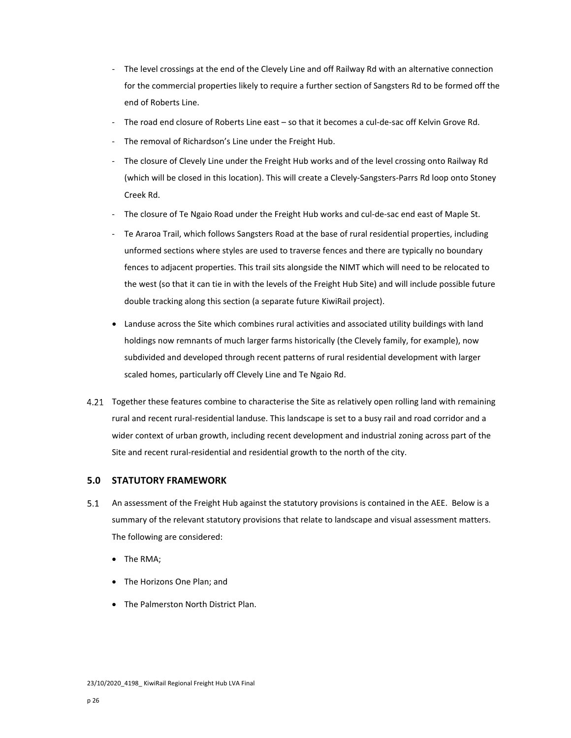- ‐ The level crossings at the end of the Clevely Line and off Railway Rd with an alternative connection for the commercial properties likely to require a further section of Sangsters Rd to be formed off the end of Roberts Line.
- ‐ The road end closure of Roberts Line east so that it becomes a cul‐de‐sac off Kelvin Grove Rd.
- ‐ The removal of Richardson's Line under the Freight Hub.
- ‐ The closure of Clevely Line under the Freight Hub works and of the level crossing onto Railway Rd (which will be closed in this location). This will create a Clevely‐Sangsters‐Parrs Rd loop onto Stoney Creek Rd.
- The closure of Te Ngaio Road under the Freight Hub works and cul-de-sac end east of Maple St.
- ‐ Te Araroa Trail, which follows Sangsters Road at the base of rural residential properties, including unformed sections where styles are used to traverse fences and there are typically no boundary fences to adjacent properties. This trail sits alongside the NIMT which will need to be relocated to the west (so that it can tie in with the levels of the Freight Hub Site) and will include possible future double tracking along this section (a separate future KiwiRail project).
- Landuse across the Site which combines rural activities and associated utility buildings with land holdings now remnants of much larger farms historically (the Clevely family, for example), now subdivided and developed through recent patterns of rural residential development with larger scaled homes, particularly off Clevely Line and Te Ngaio Rd.
- 4.21 Together these features combine to characterise the Site as relatively open rolling land with remaining rural and recent rural‐residential landuse. This landscape is set to a busy rail and road corridor and a wider context of urban growth, including recent development and industrial zoning across part of the Site and recent rural-residential and residential growth to the north of the city.

# **5.0 STATUTORY FRAMEWORK**

- 5.1 An assessment of the Freight Hub against the statutory provisions is contained in the AEE. Below is a summary of the relevant statutory provisions that relate to landscape and visual assessment matters. The following are considered:
	- The RMA;
	- The Horizons One Plan; and
	- The Palmerston North District Plan.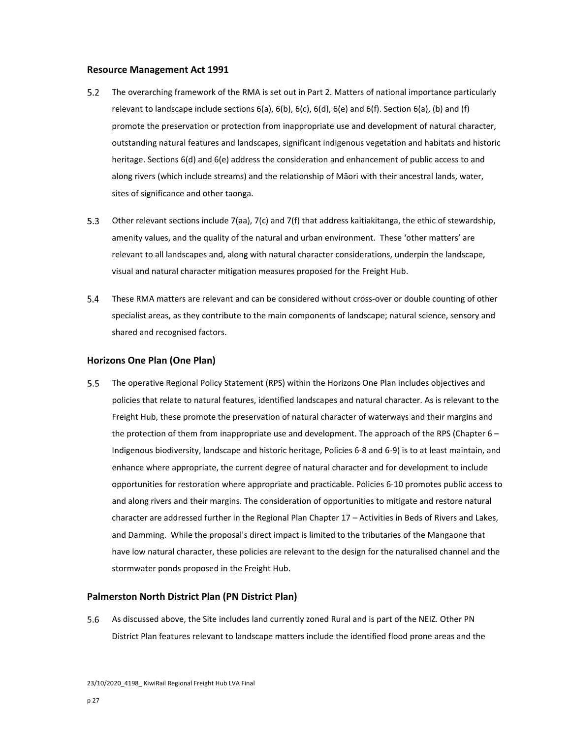## **Resource Management Act 1991**

- The overarching framework of the RMA is set out in Part 2. Matters of national importance particularly  $5.2$ relevant to landscape include sections  $6(a)$ ,  $6(b)$ ,  $6(c)$ ,  $6(d)$ ,  $6(e)$  and  $6(f)$ . Section  $6(a)$ , (b) and (f) promote the preservation or protection from inappropriate use and development of natural character, outstanding natural features and landscapes, significant indigenous vegetation and habitats and historic heritage. Sections 6(d) and 6(e) address the consideration and enhancement of public access to and along rivers (which include streams) and the relationship of Māori with their ancestral lands, water, sites of significance and other taonga.
- $5.3$ Other relevant sections include 7(aa), 7(c) and 7(f) that address kaitiakitanga, the ethic of stewardship, amenity values, and the quality of the natural and urban environment. These 'other matters' are relevant to all landscapes and, along with natural character considerations, underpin the landscape, visual and natural character mitigation measures proposed for the Freight Hub.
- $5.4$ These RMA matters are relevant and can be considered without cross‐over or double counting of other specialist areas, as they contribute to the main components of landscape; natural science, sensory and shared and recognised factors.

## **Horizons One Plan (One Plan)**

 $5.5$ The operative Regional Policy Statement (RPS) within the Horizons One Plan includes objectives and policies that relate to natural features, identified landscapes and natural character. As is relevant to the Freight Hub, these promote the preservation of natural character of waterways and their margins and the protection of them from inappropriate use and development. The approach of the RPS (Chapter 6 -Indigenous biodiversity, landscape and historic heritage, Policies 6‐8 and 6‐9) is to at least maintain, and enhance where appropriate, the current degree of natural character and for development to include opportunities for restoration where appropriate and practicable. Policies 6‐10 promotes public access to and along rivers and their margins. The consideration of opportunities to mitigate and restore natural character are addressed further in the Regional Plan Chapter 17 – Activities in Beds of Rivers and Lakes, and Damming. While the proposal's direct impact is limited to the tributaries of the Mangaone that have low natural character, these policies are relevant to the design for the naturalised channel and the stormwater ponds proposed in the Freight Hub.

# **Palmerston North District Plan (PN District Plan)**

As discussed above, the Site includes land currently zoned Rural and is part of the NEIZ. Other PN  $5.6$ District Plan features relevant to landscape matters include the identified flood prone areas and the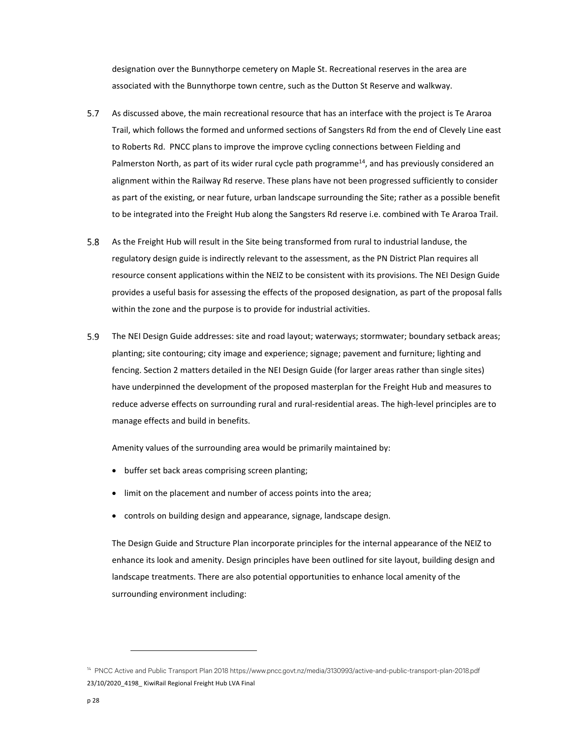designation over the Bunnythorpe cemetery on Maple St. Recreational reserves in the area are associated with the Bunnythorpe town centre, such as the Dutton St Reserve and walkway.

- $5.7$ As discussed above, the main recreational resource that has an interface with the project is Te Araroa Trail, which follows the formed and unformed sections of Sangsters Rd from the end of Clevely Line east to Roberts Rd. PNCC plans to improve the improve cycling connections between Fielding and Palmerston North, as part of its wider rural cycle path programme<sup>14</sup>, and has previously considered an alignment within the Railway Rd reserve. These plans have not been progressed sufficiently to consider as part of the existing, or near future, urban landscape surrounding the Site; rather as a possible benefit to be integrated into the Freight Hub along the Sangsters Rd reserve i.e. combined with Te Araroa Trail.
- 5.8 As the Freight Hub will result in the Site being transformed from rural to industrial landuse, the regulatory design guide is indirectly relevant to the assessment, as the PN District Plan requires all resource consent applications within the NEIZ to be consistent with its provisions. The NEI Design Guide provides a useful basis for assessing the effects of the proposed designation, as part of the proposal falls within the zone and the purpose is to provide for industrial activities.
- 5.9 The NEI Design Guide addresses: site and road layout; waterways; stormwater; boundary setback areas; planting; site contouring; city image and experience; signage; pavement and furniture; lighting and fencing. Section 2 matters detailed in the NEI Design Guide (for larger areas rather than single sites) have underpinned the development of the proposed masterplan for the Freight Hub and measures to reduce adverse effects on surrounding rural and rural‐residential areas. The high‐level principles are to manage effects and build in benefits.

Amenity values of the surrounding area would be primarily maintained by:

- buffer set back areas comprising screen planting;
- limit on the placement and number of access points into the area;
- controls on building design and appearance, signage, landscape design.

The Design Guide and Structure Plan incorporate principles for the internal appearance of the NEIZ to enhance its look and amenity. Design principles have been outlined for site layout, building design and landscape treatments. There are also potential opportunities to enhance local amenity of the surrounding environment including:

<sup>23/10/2020 4198</sup> KiwiRail Regional Freight Hub LVA Final 14 PNCC Active and Public Transport Plan 2018 https://www.pncc.govt.nz/media/3130993/active-and-public-transport-plan-2018.pdf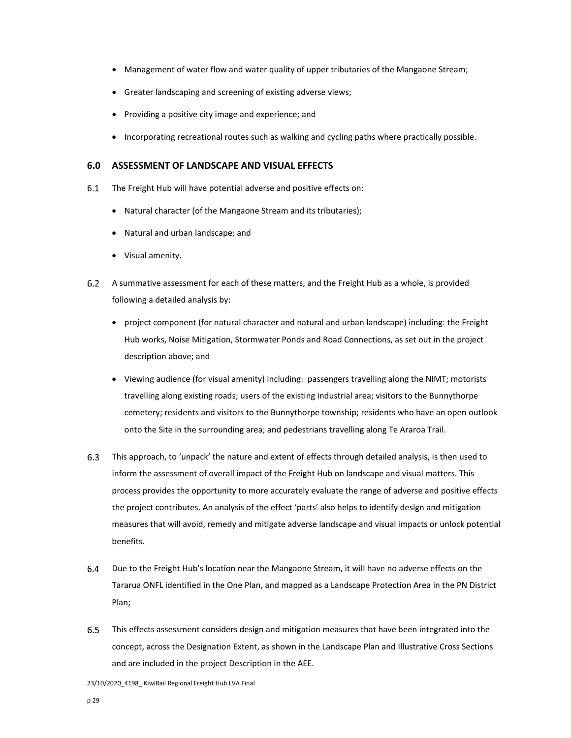- Management of water flow and water quality of upper tributaries of the Mangaone Stream;
- Greater landscaping and screening of existing adverse views;
- Providing a positive city image and experience; and
- Incorporating recreational routes such as walking and cycling paths where practically possible.

# **6.0 ASSESSMENT OF LANDSCAPE AND VISUAL EFFECTS**

- The Freight Hub will have potential adverse and positive effects on:  $6.1$ 
	- Natural character (of the Mangaone Stream and its tributaries);
	- Natural and urban landscape; and
	- Visual amenity.
- $6.2$ A summative assessment for each of these matters, and the Freight Hub as a whole, is provided following a detailed analysis by:
	- project component (for natural character and natural and urban landscape) including: the Freight Hub works, Noise Mitigation, Stormwater Ponds and Road Connections, as set out in the project description above; and
	- Viewing audience (for visual amenity) including: passengers travelling along the NIMT; motorists travelling along existing roads; users of the existing industrial area; visitors to the Bunnythorpe cemetery; residents and visitors to the Bunnythorpe township; residents who have an open outlook onto the Site in the surrounding area; and pedestrians travelling along Te Araroa Trail.
- $6.3$ This approach, to 'unpack' the nature and extent of effects through detailed analysis, is then used to inform the assessment of overall impact of the Freight Hub on landscape and visual matters. This process provides the opportunity to more accurately evaluate the range of adverse and positive effects the project contributes. An analysis of the effect 'parts' also helps to identify design and mitigation measures that will avoid, remedy and mitigate adverse landscape and visual impacts or unlock potential benefits.
- 6.4 Due to the Freight Hub's location near the Mangaone Stream, it will have no adverse effects on the Tararua ONFL identified in the One Plan, and mapped as a Landscape Protection Area in the PN District Plan;
- $6.5$ This effects assessment considers design and mitigation measures that have been integrated into the concept, across the Designation Extent, as shown in the Landscape Plan and Illustrative Cross Sections and are included in the project Description in the AEE.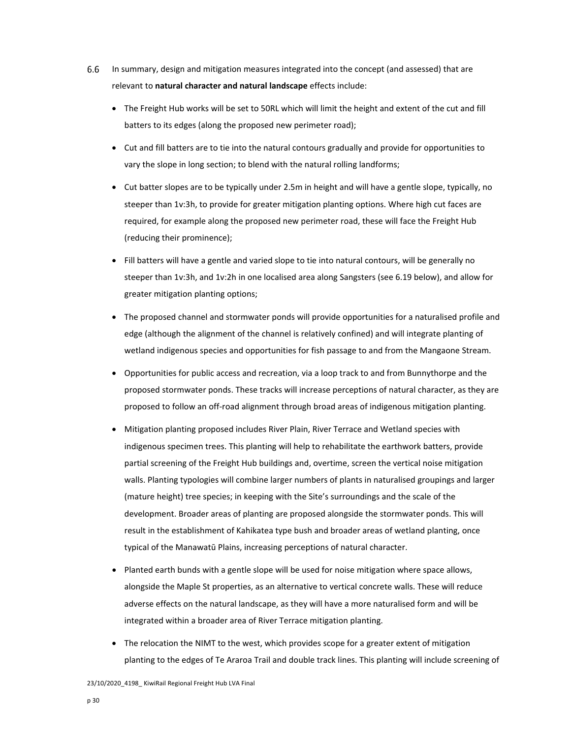- $6.6$ In summary, design and mitigation measures integrated into the concept (and assessed) that are relevant to **natural character and natural landscape** effects include:
	- The Freight Hub works will be set to 50RL which will limit the height and extent of the cut and fill batters to its edges (along the proposed new perimeter road);
	- Cut and fill batters are to tie into the natural contours gradually and provide for opportunities to vary the slope in long section; to blend with the natural rolling landforms;
	- Cut batter slopes are to be typically under 2.5m in height and will have a gentle slope, typically, no steeper than 1v:3h, to provide for greater mitigation planting options. Where high cut faces are required, for example along the proposed new perimeter road, these will face the Freight Hub (reducing their prominence);
	- Fill batters will have a gentle and varied slope to tie into natural contours, will be generally no steeper than 1v:3h, and 1v:2h in one localised area along Sangsters (see 6.19 below), and allow for greater mitigation planting options;
	- The proposed channel and stormwater ponds will provide opportunities for a naturalised profile and edge (although the alignment of the channel is relatively confined) and will integrate planting of wetland indigenous species and opportunities for fish passage to and from the Mangaone Stream.
	- Opportunities for public access and recreation, via a loop track to and from Bunnythorpe and the proposed stormwater ponds. These tracks will increase perceptions of natural character, as they are proposed to follow an off‐road alignment through broad areas of indigenous mitigation planting.
	- Mitigation planting proposed includes River Plain, River Terrace and Wetland species with indigenous specimen trees. This planting will help to rehabilitate the earthwork batters, provide partial screening of the Freight Hub buildings and, overtime, screen the vertical noise mitigation walls. Planting typologies will combine larger numbers of plants in naturalised groupings and larger (mature height) tree species; in keeping with the Site's surroundings and the scale of the development. Broader areas of planting are proposed alongside the stormwater ponds. This will result in the establishment of Kahikatea type bush and broader areas of wetland planting, once typical of the Manawatū Plains, increasing perceptions of natural character.
	- Planted earth bunds with a gentle slope will be used for noise mitigation where space allows, alongside the Maple St properties, as an alternative to vertical concrete walls. These will reduce adverse effects on the natural landscape, as they will have a more naturalised form and will be integrated within a broader area of River Terrace mitigation planting.
	- The relocation the NIMT to the west, which provides scope for a greater extent of mitigation planting to the edges of Te Araroa Trail and double track lines. This planting will include screening of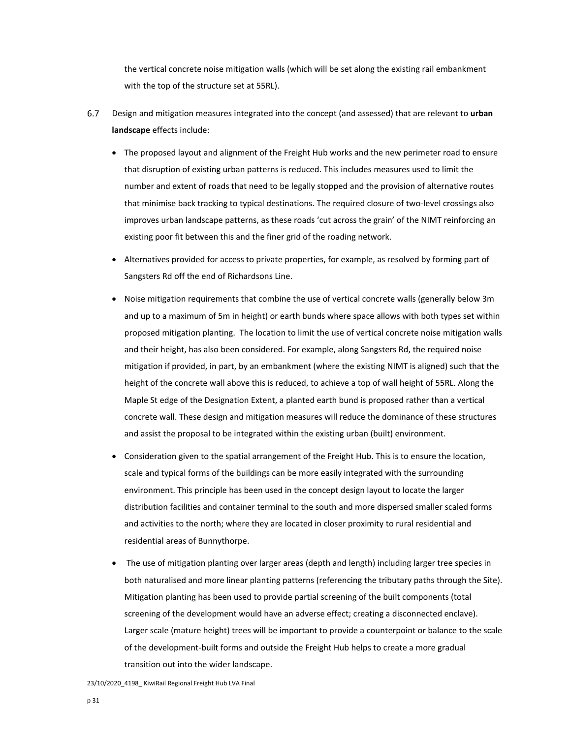the vertical concrete noise mitigation walls (which will be set along the existing rail embankment with the top of the structure set at 55RL).

- 6.7 Design and mitigation measures integrated into the concept (and assessed) that are relevant to **urban landscape** effects include:
	- The proposed layout and alignment of the Freight Hub works and the new perimeter road to ensure that disruption of existing urban patterns is reduced. This includes measures used to limit the number and extent of roads that need to be legally stopped and the provision of alternative routes that minimise back tracking to typical destinations. The required closure of two-level crossings also improves urban landscape patterns, as these roads 'cut across the grain' of the NIMT reinforcing an existing poor fit between this and the finer grid of the roading network.
	- Alternatives provided for access to private properties, for example, as resolved by forming part of Sangsters Rd off the end of Richardsons Line.
	- Noise mitigation requirements that combine the use of vertical concrete walls (generally below 3m and up to a maximum of 5m in height) or earth bunds where space allows with both types set within proposed mitigation planting. The location to limit the use of vertical concrete noise mitigation walls and their height, has also been considered. For example, along Sangsters Rd, the required noise mitigation if provided, in part, by an embankment (where the existing NIMT is aligned) such that the height of the concrete wall above this is reduced, to achieve a top of wall height of 55RL. Along the Maple St edge of the Designation Extent, a planted earth bund is proposed rather than a vertical concrete wall. These design and mitigation measures will reduce the dominance of these structures and assist the proposal to be integrated within the existing urban (built) environment.
	- Consideration given to the spatial arrangement of the Freight Hub. This is to ensure the location, scale and typical forms of the buildings can be more easily integrated with the surrounding environment. This principle has been used in the concept design layout to locate the larger distribution facilities and container terminal to the south and more dispersed smaller scaled forms and activities to the north; where they are located in closer proximity to rural residential and residential areas of Bunnythorpe.
	- The use of mitigation planting over larger areas (depth and length) including larger tree species in both naturalised and more linear planting patterns (referencing the tributary paths through the Site). Mitigation planting has been used to provide partial screening of the built components (total screening of the development would have an adverse effect; creating a disconnected enclave). Larger scale (mature height) trees will be important to provide a counterpoint or balance to the scale of the development‐built forms and outside the Freight Hub helps to create a more gradual transition out into the wider landscape.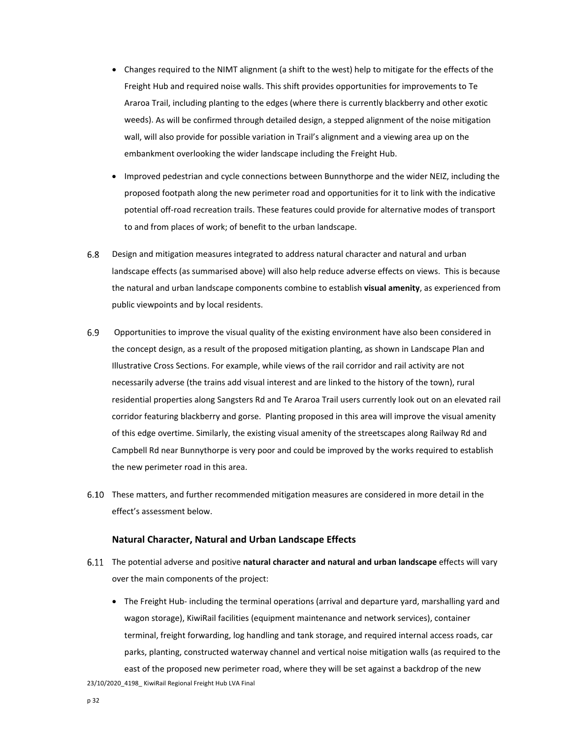- Changes required to the NIMT alignment (a shift to the west) help to mitigate for the effects of the Freight Hub and required noise walls. This shift provides opportunities for improvements to Te Araroa Trail, including planting to the edges (where there is currently blackberry and other exotic weeds). As will be confirmed through detailed design, a stepped alignment of the noise mitigation wall, will also provide for possible variation in Trail's alignment and a viewing area up on the embankment overlooking the wider landscape including the Freight Hub.
- Improved pedestrian and cycle connections between Bunnythorpe and the wider NEIZ, including the proposed footpath along the new perimeter road and opportunities for it to link with the indicative potential off-road recreation trails. These features could provide for alternative modes of transport to and from places of work; of benefit to the urban landscape.
- $6.8$ Design and mitigation measures integrated to address natural character and natural and urban landscape effects (as summarised above) will also help reduce adverse effects on views. This is because the natural and urban landscape components combine to establish **visual amenity**, as experienced from public viewpoints and by local residents.
- 6.9 Opportunities to improve the visual quality of the existing environment have also been considered in the concept design, as a result of the proposed mitigation planting, as shown in Landscape Plan and Illustrative Cross Sections. For example, while views of the rail corridor and rail activity are not necessarily adverse (the trains add visual interest and are linked to the history of the town), rural residential properties along Sangsters Rd and Te Araroa Trail users currently look out on an elevated rail corridor featuring blackberry and gorse. Planting proposed in this area will improve the visual amenity of this edge overtime. Similarly, the existing visual amenity of the streetscapes along Railway Rd and Campbell Rd near Bunnythorpe is very poor and could be improved by the works required to establish the new perimeter road in this area.
- These matters, and further recommended mitigation measures are considered in more detail in the effect's assessment below.

#### **Natural Character, Natural and Urban Landscape Effects**

- The potential adverse and positive **natural character and natural and urban landscape** effects will vary over the main components of the project:
- 23/10/2020 4198 KiwiRail Regional Freight Hub LVA Final ● The Freight Hub- including the terminal operations (arrival and departure yard, marshalling yard and wagon storage), KiwiRail facilities (equipment maintenance and network services), container terminal, freight forwarding, log handling and tank storage, and required internal access roads, car parks, planting, constructed waterway channel and vertical noise mitigation walls (as required to the east of the proposed new perimeter road, where they will be set against a backdrop of the new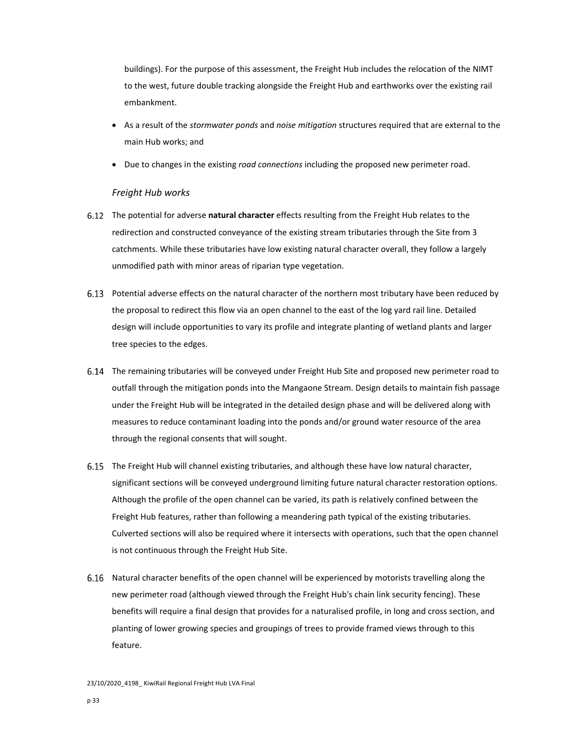buildings). For the purpose of this assessment, the Freight Hub includes the relocation of the NIMT to the west, future double tracking alongside the Freight Hub and earthworks over the existing rail embankment.

- As a result of the *stormwater ponds* and *noise mitigation* structures required that are external to the main Hub works; and
- Due to changes in the existing *road connections* including the proposed new perimeter road.

# *Freight Hub works*

- The potential for adverse **natural character** effects resulting from the Freight Hub relates to the redirection and constructed conveyance of the existing stream tributaries through the Site from 3 catchments. While these tributaries have low existing natural character overall, they follow a largely unmodified path with minor areas of riparian type vegetation.
- Potential adverse effects on the natural character of the northern most tributary have been reduced by the proposal to redirect this flow via an open channel to the east of the log yard rail line. Detailed design will include opportunities to vary its profile and integrate planting of wetland plants and larger tree species to the edges.
- The remaining tributaries will be conveyed under Freight Hub Site and proposed new perimeter road to outfall through the mitigation ponds into the Mangaone Stream. Design details to maintain fish passage under the Freight Hub will be integrated in the detailed design phase and will be delivered along with measures to reduce contaminant loading into the ponds and/or ground water resource of the area through the regional consents that will sought.
- The Freight Hub will channel existing tributaries, and although these have low natural character, significant sections will be conveyed underground limiting future natural character restoration options. Although the profile of the open channel can be varied, its path is relatively confined between the Freight Hub features, rather than following a meandering path typical of the existing tributaries. Culverted sections will also be required where it intersects with operations, such that the open channel is not continuous through the Freight Hub Site.
- 6.16 Natural character benefits of the open channel will be experienced by motorists travelling along the new perimeter road (although viewed through the Freight Hub's chain link security fencing). These benefits will require a final design that provides for a naturalised profile, in long and cross section, and planting of lower growing species and groupings of trees to provide framed views through to this feature.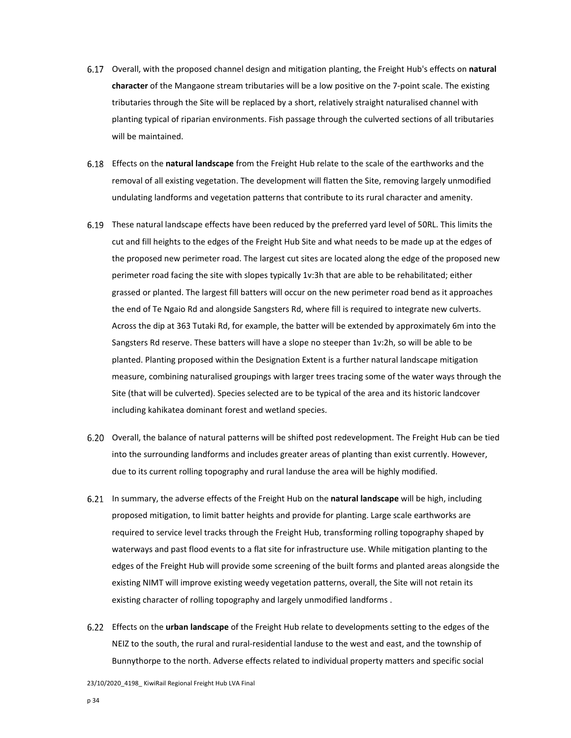- Overall, with the proposed channel design and mitigation planting, the Freight Hub's effects on **natural character** of the Mangaone stream tributaries will be a low positive on the 7‐point scale. The existing tributaries through the Site will be replaced by a short, relatively straight naturalised channel with planting typical of riparian environments. Fish passage through the culverted sections of all tributaries will be maintained.
- Effects on the **natural landscape** from the Freight Hub relate to the scale of the earthworks and the removal of all existing vegetation. The development will flatten the Site, removing largely unmodified undulating landforms and vegetation patterns that contribute to its rural character and amenity.
- These natural landscape effects have been reduced by the preferred yard level of 50RL. This limits the cut and fill heights to the edges of the Freight Hub Site and what needs to be made up at the edges of the proposed new perimeter road. The largest cut sites are located along the edge of the proposed new perimeter road facing the site with slopes typically 1v:3h that are able to be rehabilitated; either grassed or planted. The largest fill batters will occur on the new perimeter road bend as it approaches the end of Te Ngaio Rd and alongside Sangsters Rd, where fill is required to integrate new culverts. Across the dip at 363 Tutaki Rd, for example, the batter will be extended by approximately 6m into the Sangsters Rd reserve. These batters will have a slope no steeper than 1v:2h, so will be able to be planted. Planting proposed within the Designation Extent is a further natural landscape mitigation measure, combining naturalised groupings with larger trees tracing some of the water ways through the Site (that will be culverted). Species selected are to be typical of the area and its historic landcover including kahikatea dominant forest and wetland species.
- Overall, the balance of natural patterns will be shifted post redevelopment. The Freight Hub can be tied into the surrounding landforms and includes greater areas of planting than exist currently. However, due to its current rolling topography and rural landuse the area will be highly modified.
- In summary, the adverse effects of the Freight Hub on the **natural landscape** will be high, including proposed mitigation, to limit batter heights and provide for planting. Large scale earthworks are required to service level tracks through the Freight Hub, transforming rolling topography shaped by waterways and past flood events to a flat site for infrastructure use. While mitigation planting to the edges of the Freight Hub will provide some screening of the built forms and planted areas alongside the existing NIMT will improve existing weedy vegetation patterns, overall, the Site will not retain its existing character of rolling topography and largely unmodified landforms .
- Effects on the **urban landscape** of the Freight Hub relate to developments setting to the edges of the NEIZ to the south, the rural and rural‐residential landuse to the west and east, and the township of Bunnythorpe to the north. Adverse effects related to individual property matters and specific social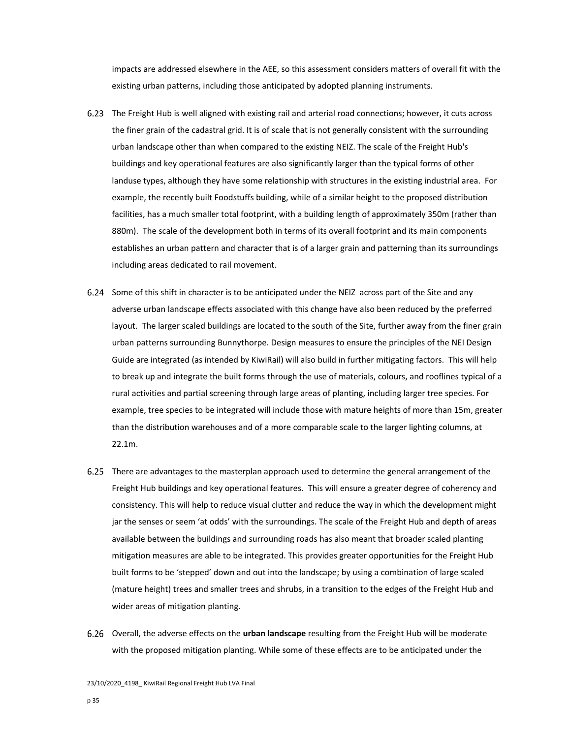impacts are addressed elsewhere in the AEE, so this assessment considers matters of overall fit with the existing urban patterns, including those anticipated by adopted planning instruments.

- The Freight Hub is well aligned with existing rail and arterial road connections; however, it cuts across the finer grain of the cadastral grid. It is of scale that is not generally consistent with the surrounding urban landscape other than when compared to the existing NEIZ. The scale of the Freight Hub's buildings and key operational features are also significantly larger than the typical forms of other landuse types, although they have some relationship with structures in the existing industrial area. For example, the recently built Foodstuffs building, while of a similar height to the proposed distribution facilities, has a much smaller total footprint, with a building length of approximately 350m (rather than 880m). The scale of the development both in terms of its overall footprint and its main components establishes an urban pattern and character that is of a larger grain and patterning than its surroundings including areas dedicated to rail movement.
- 6.24 Some of this shift in character is to be anticipated under the NEIZ across part of the Site and any adverse urban landscape effects associated with this change have also been reduced by the preferred layout. The larger scaled buildings are located to the south of the Site, further away from the finer grain urban patterns surrounding Bunnythorpe. Design measures to ensure the principles of the NEI Design Guide are integrated (as intended by KiwiRail) will also build in further mitigating factors. This will help to break up and integrate the built forms through the use of materials, colours, and rooflines typical of a rural activities and partial screening through large areas of planting, including larger tree species. For example, tree species to be integrated will include those with mature heights of more than 15m, greater than the distribution warehouses and of a more comparable scale to the larger lighting columns, at 22.1m.
- There are advantages to the masterplan approach used to determine the general arrangement of the Freight Hub buildings and key operational features. This will ensure a greater degree of coherency and consistency. This will help to reduce visual clutter and reduce the way in which the development might jar the senses or seem 'at odds' with the surroundings. The scale of the Freight Hub and depth of areas available between the buildings and surrounding roads has also meant that broader scaled planting mitigation measures are able to be integrated. This provides greater opportunities for the Freight Hub built forms to be 'stepped' down and out into the landscape; by using a combination of large scaled (mature height) trees and smaller trees and shrubs, in a transition to the edges of the Freight Hub and wider areas of mitigation planting.
- Overall, the adverse effects on the **urban landscape** resulting from the Freight Hub will be moderate with the proposed mitigation planting. While some of these effects are to be anticipated under the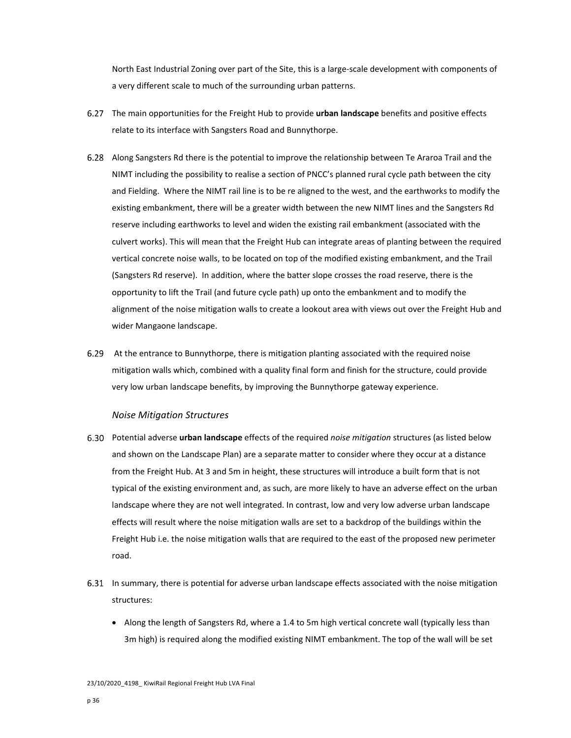North East Industrial Zoning over part of the Site, this is a large‐scale development with components of a very different scale to much of the surrounding urban patterns.

- The main opportunities for the Freight Hub to provide **urban landscape** benefits and positive effects relate to its interface with Sangsters Road and Bunnythorpe.
- Along Sangsters Rd there is the potential to improve the relationship between Te Araroa Trail and the NIMT including the possibility to realise a section of PNCC's planned rural cycle path between the city and Fielding. Where the NIMT rail line is to be re aligned to the west, and the earthworks to modify the existing embankment, there will be a greater width between the new NIMT lines and the Sangsters Rd reserve including earthworks to level and widen the existing rail embankment (associated with the culvert works). This will mean that the Freight Hub can integrate areas of planting between the required vertical concrete noise walls, to be located on top of the modified existing embankment, and the Trail (Sangsters Rd reserve). In addition, where the batter slope crosses the road reserve, there is the opportunity to lift the Trail (and future cycle path) up onto the embankment and to modify the alignment of the noise mitigation walls to create a lookout area with views out over the Freight Hub and wider Mangaone landscape.
- At the entrance to Bunnythorpe, there is mitigation planting associated with the required noise mitigation walls which, combined with a quality final form and finish for the structure, could provide very low urban landscape benefits, by improving the Bunnythorpe gateway experience.

## *Noise Mitigation Structures*

- Potential adverse **urban landscape** effects of the required *noise mitigation* structures (as listed below and shown on the Landscape Plan) are a separate matter to consider where they occur at a distance from the Freight Hub. At 3 and 5m in height, these structures will introduce a built form that is not typical of the existing environment and, as such, are more likely to have an adverse effect on the urban landscape where they are not well integrated. In contrast, low and very low adverse urban landscape effects will result where the noise mitigation walls are set to a backdrop of the buildings within the Freight Hub i.e. the noise mitigation walls that are required to the east of the proposed new perimeter road.
- 6.31 In summary, there is potential for adverse urban landscape effects associated with the noise mitigation structures:
	- Along the length of Sangsters Rd, where a 1.4 to 5m high vertical concrete wall (typically less than 3m high) is required along the modified existing NIMT embankment. The top of the wall will be set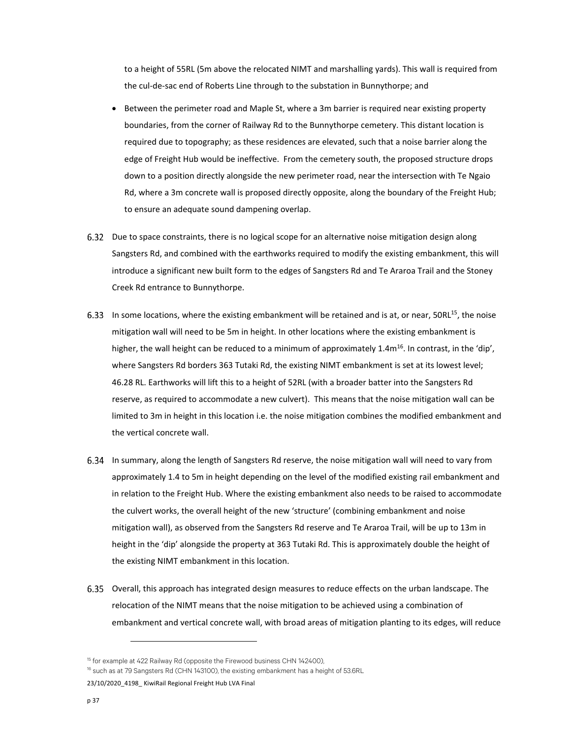to a height of 55RL (5m above the relocated NIMT and marshalling yards). This wall is required from the cul-de-sac end of Roberts Line through to the substation in Bunnythorpe; and

- **Between the perimeter road and Maple St, where a 3m barrier is required near existing property** boundaries, from the corner of Railway Rd to the Bunnythorpe cemetery. This distant location is required due to topography; as these residences are elevated, such that a noise barrier along the edge of Freight Hub would be ineffective. From the cemetery south, the proposed structure drops down to a position directly alongside the new perimeter road, near the intersection with Te Ngaio Rd, where a 3m concrete wall is proposed directly opposite, along the boundary of the Freight Hub; to ensure an adequate sound dampening overlap.
- Due to space constraints, there is no logical scope for an alternative noise mitigation design along Sangsters Rd, and combined with the earthworks required to modify the existing embankment, this will introduce a significant new built form to the edges of Sangsters Rd and Te Araroa Trail and the Stoney Creek Rd entrance to Bunnythorpe.
- 6.33 In some locations, where the existing embankment will be retained and is at, or near,  $50RL^{15}$ , the noise mitigation wall will need to be 5m in height. In other locations where the existing embankment is higher, the wall height can be reduced to a minimum of approximately 1.4 $m^{16}$ . In contrast, in the 'dip', where Sangsters Rd borders 363 Tutaki Rd, the existing NIMT embankment is set at its lowest level; 46.28 RL. Earthworks will lift this to a height of 52RL (with a broader batter into the Sangsters Rd reserve, as required to accommodate a new culvert). This means that the noise mitigation wall can be limited to 3m in height in this location i.e. the noise mitigation combines the modified embankment and the vertical concrete wall.
- In summary, along the length of Sangsters Rd reserve, the noise mitigation wall will need to vary from approximately 1.4 to 5m in height depending on the level of the modified existing rail embankment and in relation to the Freight Hub. Where the existing embankment also needs to be raised to accommodate the culvert works, the overall height of the new 'structure' (combining embankment and noise mitigation wall), as observed from the Sangsters Rd reserve and Te Araroa Trail, will be up to 13m in height in the 'dip' alongside the property at 363 Tutaki Rd. This is approximately double the height of the existing NIMT embankment in this location.
- Overall, this approach has integrated design measures to reduce effects on the urban landscape. The relocation of the NIMT means that the noise mitigation to be achieved using a combination of embankment and vertical concrete wall, with broad areas of mitigation planting to its edges, will reduce

<sup>&</sup>lt;sup>15</sup> for example at 422 Railway Rd (opposite the Firewood business CHN 142400),<br><sup>16</sup> such as at 79 Sangsters Rd (CHN 143100), the existing embankment has a height of 53.6RL

<sup>23/10/2020</sup>\_4198\_ KiwiRail Regional Freight Hub LVA Final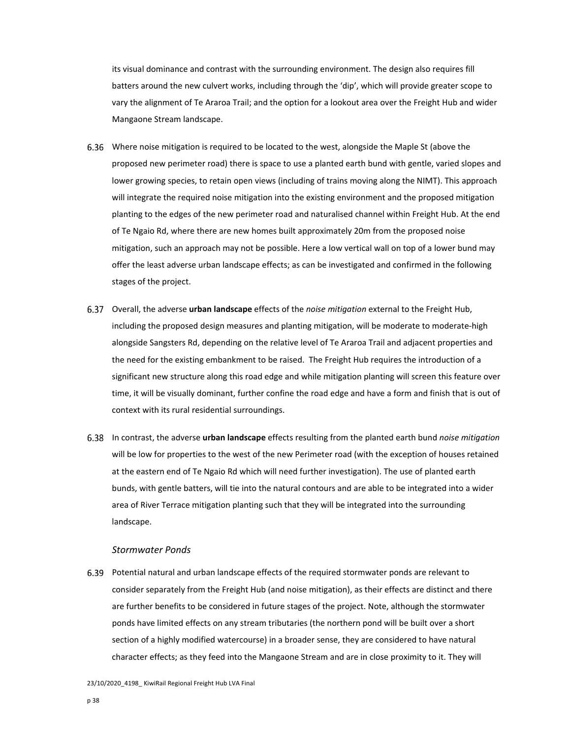its visual dominance and contrast with the surrounding environment. The design also requires fill batters around the new culvert works, including through the 'dip', which will provide greater scope to vary the alignment of Te Araroa Trail; and the option for a lookout area over the Freight Hub and wider Mangaone Stream landscape.

- Where noise mitigation is required to be located to the west, alongside the Maple St (above the proposed new perimeter road) there is space to use a planted earth bund with gentle, varied slopes and lower growing species, to retain open views (including of trains moving along the NIMT). This approach will integrate the required noise mitigation into the existing environment and the proposed mitigation planting to the edges of the new perimeter road and naturalised channel within Freight Hub. At the end of Te Ngaio Rd, where there are new homes built approximately 20m from the proposed noise mitigation, such an approach may not be possible. Here a low vertical wall on top of a lower bund may offer the least adverse urban landscape effects; as can be investigated and confirmed in the following stages of the project.
- Overall, the adverse **urban landscape** effects of the *noise mitigation* external to the Freight Hub, including the proposed design measures and planting mitigation, will be moderate to moderate‐high alongside Sangsters Rd, depending on the relative level of Te Araroa Trail and adjacent properties and the need for the existing embankment to be raised. The Freight Hub requires the introduction of a significant new structure along this road edge and while mitigation planting will screen this feature over time, it will be visually dominant, further confine the road edge and have a form and finish that is out of context with its rural residential surroundings.
- In contrast, the adverse **urban landscape** effects resulting from the planted earth bund *noise mitigation* will be low for properties to the west of the new Perimeter road (with the exception of houses retained at the eastern end of Te Ngaio Rd which will need further investigation). The use of planted earth bunds, with gentle batters, will tie into the natural contours and are able to be integrated into a wider area of River Terrace mitigation planting such that they will be integrated into the surrounding landscape.

#### *Stormwater Ponds*

Potential natural and urban landscape effects of the required stormwater ponds are relevant to consider separately from the Freight Hub (and noise mitigation), as their effects are distinct and there are further benefits to be considered in future stages of the project. Note, although the stormwater ponds have limited effects on any stream tributaries (the northern pond will be built over a short section of a highly modified watercourse) in a broader sense, they are considered to have natural character effects; as they feed into the Mangaone Stream and are in close proximity to it. They will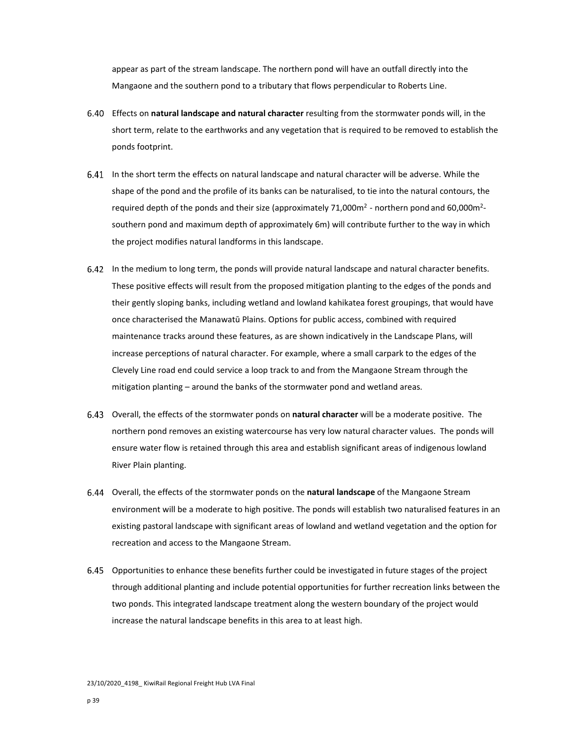appear as part of the stream landscape. The northern pond will have an outfall directly into the Mangaone and the southern pond to a tributary that flows perpendicular to Roberts Line.

- Effects on **natural landscape and natural character** resulting from the stormwater ponds will, in the short term, relate to the earthworks and any vegetation that is required to be removed to establish the ponds footprint.
- In the short term the effects on natural landscape and natural character will be adverse. While the shape of the pond and the profile of its banks can be naturalised, to tie into the natural contours, the required depth of the ponds and their size (approximately 71,000m<sup>2</sup> - northern pond and 60,000m<sup>2</sup>southern pond and maximum depth of approximately 6m) will contribute further to the way in which the project modifies natural landforms in this landscape.
- In the medium to long term, the ponds will provide natural landscape and natural character benefits. These positive effects will result from the proposed mitigation planting to the edges of the ponds and their gently sloping banks, including wetland and lowland kahikatea forest groupings, that would have once characterised the Manawatū Plains. Options for public access, combined with required maintenance tracks around these features, as are shown indicatively in the Landscape Plans, will increase perceptions of natural character. For example, where a small carpark to the edges of the Clevely Line road end could service a loop track to and from the Mangaone Stream through the mitigation planting – around the banks of the stormwater pond and wetland areas.
- Overall, the effects of the stormwater ponds on **natural character** will be a moderate positive. The northern pond removes an existing watercourse has very low natural character values. The ponds will ensure water flow is retained through this area and establish significant areas of indigenous lowland River Plain planting.
- Overall, the effects of the stormwater ponds on the **natural landscape** of the Mangaone Stream environment will be a moderate to high positive. The ponds will establish two naturalised features in an existing pastoral landscape with significant areas of lowland and wetland vegetation and the option for recreation and access to the Mangaone Stream.
- Opportunities to enhance these benefits further could be investigated in future stages of the project through additional planting and include potential opportunities for further recreation links between the two ponds. This integrated landscape treatment along the western boundary of the project would increase the natural landscape benefits in this area to at least high.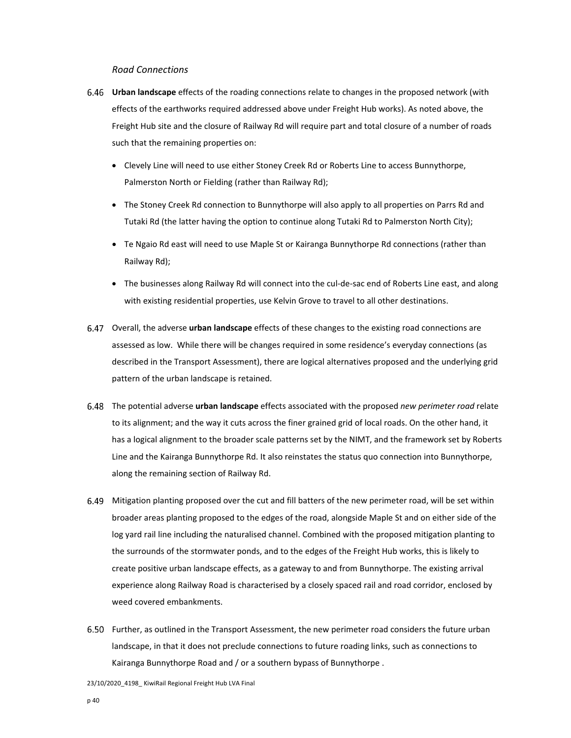## *Road Connections*

- **Urban landscape** effects of the roading connections relate to changes in the proposed network (with effects of the earthworks required addressed above under Freight Hub works). As noted above, the Freight Hub site and the closure of Railway Rd will require part and total closure of a number of roads such that the remaining properties on:
	- Clevely Line will need to use either Stoney Creek Rd or Roberts Line to access Bunnythorpe, Palmerston North or Fielding (rather than Railway Rd);
	- The Stoney Creek Rd connection to Bunnythorpe will also apply to all properties on Parrs Rd and Tutaki Rd (the latter having the option to continue along Tutaki Rd to Palmerston North City);
	- Te Ngaio Rd east will need to use Maple St or Kairanga Bunnythorpe Rd connections (rather than Railway Rd);
	- The businesses along Railway Rd will connect into the cul-de-sac end of Roberts Line east, and along with existing residential properties, use Kelvin Grove to travel to all other destinations.
- Overall, the adverse **urban landscape** effects of these changes to the existing road connections are assessed as low. While there will be changes required in some residence's everyday connections (as described in the Transport Assessment), there are logical alternatives proposed and the underlying grid pattern of the urban landscape is retained.
- The potential adverse **urban landscape** effects associated with the proposed *new perimeter road* relate to its alignment; and the way it cuts across the finer grained grid of local roads. On the other hand, it has a logical alignment to the broader scale patterns set by the NIMT, and the framework set by Roberts Line and the Kairanga Bunnythorpe Rd. It also reinstates the status quo connection into Bunnythorpe, along the remaining section of Railway Rd.
- Mitigation planting proposed over the cut and fill batters of the new perimeter road, will be set within broader areas planting proposed to the edges of the road, alongside Maple St and on either side of the log yard rail line including the naturalised channel. Combined with the proposed mitigation planting to the surrounds of the stormwater ponds, and to the edges of the Freight Hub works, this is likely to create positive urban landscape effects, as a gateway to and from Bunnythorpe. The existing arrival experience along Railway Road is characterised by a closely spaced rail and road corridor, enclosed by weed covered embankments.
- Further, as outlined in the Transport Assessment, the new perimeter road considers the future urban landscape, in that it does not preclude connections to future roading links, such as connections to Kairanga Bunnythorpe Road and / or a southern bypass of Bunnythorpe .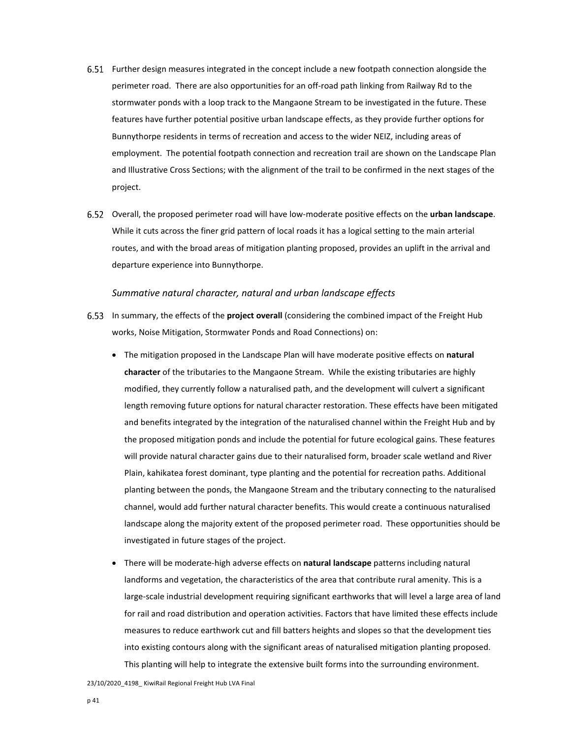- Further design measures integrated in the concept include a new footpath connection alongside the perimeter road. There are also opportunities for an off-road path linking from Railway Rd to the stormwater ponds with a loop track to the Mangaone Stream to be investigated in the future. These features have further potential positive urban landscape effects, as they provide further options for Bunnythorpe residents in terms of recreation and access to the wider NEIZ, including areas of employment. The potential footpath connection and recreation trail are shown on the Landscape Plan and Illustrative Cross Sections; with the alignment of the trail to be confirmed in the next stages of the project.
- Overall, the proposed perimeter road will have low‐moderate positive effects on the **urban landscape**. While it cuts across the finer grid pattern of local roads it has a logical setting to the main arterial routes, and with the broad areas of mitigation planting proposed, provides an uplift in the arrival and departure experience into Bunnythorpe.

## *Summative natural character, natural and urban landscape effects*

- In summary, the effects of the **project overall** (considering the combined impact of the Freight Hub works, Noise Mitigation, Stormwater Ponds and Road Connections) on:
	- The mitigation proposed in the Landscape Plan will have moderate positive effects on **natural character** of the tributaries to the Mangaone Stream. While the existing tributaries are highly modified, they currently follow a naturalised path, and the development will culvert a significant length removing future options for natural character restoration. These effects have been mitigated and benefits integrated by the integration of the naturalised channel within the Freight Hub and by the proposed mitigation ponds and include the potential for future ecological gains. These features will provide natural character gains due to their naturalised form, broader scale wetland and River Plain, kahikatea forest dominant, type planting and the potential for recreation paths. Additional planting between the ponds, the Mangaone Stream and the tributary connecting to the naturalised channel, would add further natural character benefits. This would create a continuous naturalised landscape along the majority extent of the proposed perimeter road. These opportunities should be investigated in future stages of the project.
	- There will be moderate‐high adverse effects on **natural landscape** patterns including natural landforms and vegetation, the characteristics of the area that contribute rural amenity. This is a large‐scale industrial development requiring significant earthworks that will level a large area of land for rail and road distribution and operation activities. Factors that have limited these effects include measures to reduce earthwork cut and fill batters heights and slopes so that the development ties into existing contours along with the significant areas of naturalised mitigation planting proposed. This planting will help to integrate the extensive built forms into the surrounding environment.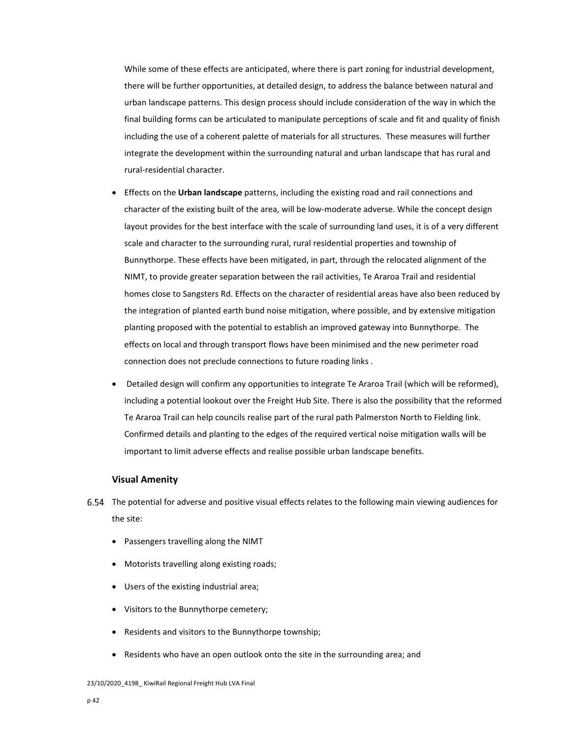While some of these effects are anticipated, where there is part zoning for industrial development, there will be further opportunities, at detailed design, to address the balance between natural and urban landscape patterns. This design process should include consideration of the way in which the final building forms can be articulated to manipulate perceptions of scale and fit and quality of finish including the use of a coherent palette of materials for all structures. These measures will further integrate the development within the surrounding natural and urban landscape that has rural and rural‐residential character.

- Effects on the **Urban landscape** patterns, including the existing road and rail connections and character of the existing built of the area, will be low-moderate adverse. While the concept design layout provides for the best interface with the scale of surrounding land uses, it is of a very different scale and character to the surrounding rural, rural residential properties and township of Bunnythorpe. These effects have been mitigated, in part, through the relocated alignment of the NIMT, to provide greater separation between the rail activities, Te Araroa Trail and residential homes close to Sangsters Rd. Effects on the character of residential areas have also been reduced by the integration of planted earth bund noise mitigation, where possible, and by extensive mitigation planting proposed with the potential to establish an improved gateway into Bunnythorpe. The effects on local and through transport flows have been minimised and the new perimeter road connection does not preclude connections to future roading links .
- Detailed design will confirm any opportunities to integrate Te Araroa Trail (which will be reformed), including a potential lookout over the Freight Hub Site. There is also the possibility that the reformed Te Araroa Trail can help councils realise part of the rural path Palmerston North to Fielding link. Confirmed details and planting to the edges of the required vertical noise mitigation walls will be important to limit adverse effects and realise possible urban landscape benefits.

#### **Visual Amenity**

- The potential for adverse and positive visual effects relates to the following main viewing audiences for the site:
	- Passengers travelling along the NIMT
	- Motorists travelling along existing roads;
	- Users of the existing industrial area;
	- Visitors to the Bunnythorpe cemetery;
	- Residents and visitors to the Bunnythorpe township;
	- Residents who have an open outlook onto the site in the surrounding area; and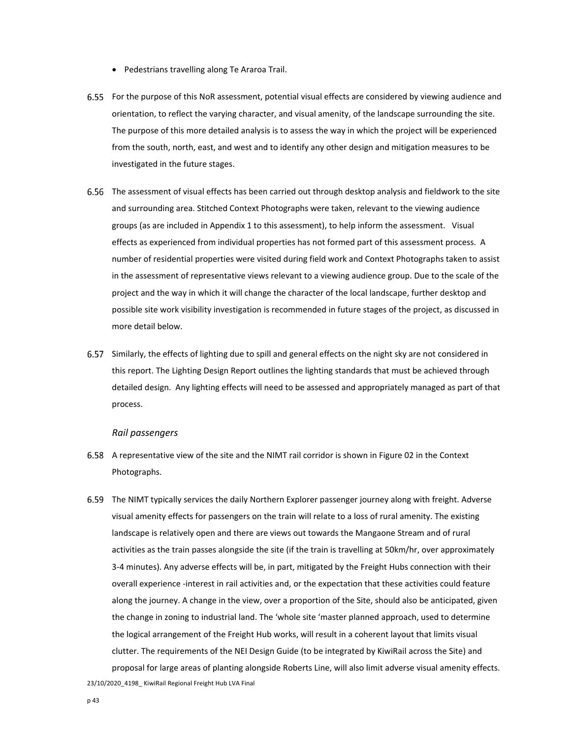- Pedestrians travelling along Te Araroa Trail.
- For the purpose of this NoR assessment, potential visual effects are considered by viewing audience and orientation, to reflect the varying character, and visual amenity, of the landscape surrounding the site. The purpose of this more detailed analysis is to assess the way in which the project will be experienced from the south, north, east, and west and to identify any other design and mitigation measures to be investigated in the future stages.
- The assessment of visual effects has been carried out through desktop analysis and fieldwork to the site and surrounding area. Stitched Context Photographs were taken, relevant to the viewing audience groups (as are included in Appendix 1 to this assessment), to help inform the assessment. Visual effects as experienced from individual properties has not formed part of this assessment process. A number of residential properties were visited during field work and Context Photographs taken to assist in the assessment of representative views relevant to a viewing audience group. Due to the scale of the project and the way in which it will change the character of the local landscape, further desktop and possible site work visibility investigation is recommended in future stages of the project, as discussed in more detail below.
- Similarly, the effects of lighting due to spill and general effects on the night sky are not considered in this report. The Lighting Design Report outlines the lighting standards that must be achieved through detailed design. Any lighting effects will need to be assessed and appropriately managed as part of that process.

#### *Rail passengers*

- A representative view of the site and the NIMT rail corridor is shown in Figure 02 in the Context Photographs.
- The NIMT typically services the daily Northern Explorer passenger journey along with freight. Adverse visual amenity effects for passengers on the train will relate to a loss of rural amenity. The existing landscape is relatively open and there are views out towards the Mangaone Stream and of rural activities as the train passes alongside the site (if the train is travelling at 50km/hr, over approximately 3‐4 minutes). Any adverse effects will be, in part, mitigated by the Freight Hubs connection with their overall experience ‐interest in rail activities and, or the expectation that these activities could feature along the journey. A change in the view, over a proportion of the Site, should also be anticipated, given the change in zoning to industrial land. The 'whole site 'master planned approach, used to determine the logical arrangement of the Freight Hub works, will result in a coherent layout that limits visual clutter. The requirements of the NEI Design Guide (to be integrated by KiwiRail across the Site) and proposal for large areas of planting alongside Roberts Line, will also limit adverse visual amenity effects.

23/10/2020\_4198\_ KiwiRail Regional Freight Hub LVA Final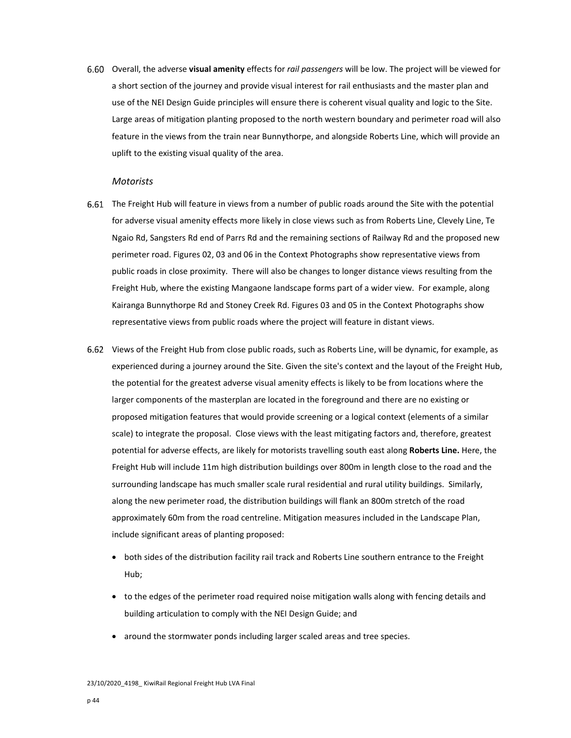Overall, the adverse **visual amenity** effects for *rail passengers* will be low. The project will be viewed for a short section of the journey and provide visual interest for rail enthusiasts and the master plan and use of the NEI Design Guide principles will ensure there is coherent visual quality and logic to the Site. Large areas of mitigation planting proposed to the north western boundary and perimeter road will also feature in the views from the train near Bunnythorpe, and alongside Roberts Line, which will provide an uplift to the existing visual quality of the area.

#### *Motorists*

- The Freight Hub will feature in views from a number of public roads around the Site with the potential for adverse visual amenity effects more likely in close views such as from Roberts Line, Clevely Line, Te Ngaio Rd, Sangsters Rd end of Parrs Rd and the remaining sections of Railway Rd and the proposed new perimeter road. Figures 02, 03 and 06 in the Context Photographs show representative views from public roads in close proximity. There will also be changes to longer distance views resulting from the Freight Hub, where the existing Mangaone landscape forms part of a wider view. For example, along Kairanga Bunnythorpe Rd and Stoney Creek Rd. Figures 03 and 05 in the Context Photographs show representative views from public roads where the project will feature in distant views.
- Views of the Freight Hub from close public roads, such as Roberts Line, will be dynamic, for example, as experienced during a journey around the Site. Given the site's context and the layout of the Freight Hub, the potential for the greatest adverse visual amenity effects is likely to be from locations where the larger components of the masterplan are located in the foreground and there are no existing or proposed mitigation features that would provide screening or a logical context (elements of a similar scale) to integrate the proposal. Close views with the least mitigating factors and, therefore, greatest potential for adverse effects, are likely for motorists travelling south east along **Roberts Line.** Here, the Freight Hub will include 11m high distribution buildings over 800m in length close to the road and the surrounding landscape has much smaller scale rural residential and rural utility buildings. Similarly, along the new perimeter road, the distribution buildings will flank an 800m stretch of the road approximately 60m from the road centreline. Mitigation measures included in the Landscape Plan, include significant areas of planting proposed:
	- both sides of the distribution facility rail track and Roberts Line southern entrance to the Freight Hub;
	- to the edges of the perimeter road required noise mitigation walls along with fencing details and building articulation to comply with the NEI Design Guide; and
	- around the stormwater ponds including larger scaled areas and tree species.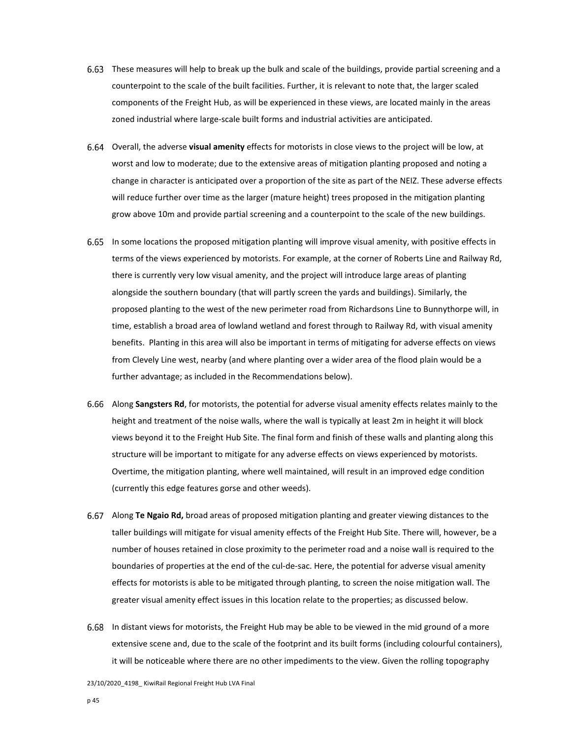- These measures will help to break up the bulk and scale of the buildings, provide partial screening and a counterpoint to the scale of the built facilities. Further, it is relevant to note that, the larger scaled components of the Freight Hub, as will be experienced in these views, are located mainly in the areas zoned industrial where large‐scale built forms and industrial activities are anticipated.
- Overall, the adverse **visual amenity** effects for motorists in close views to the project will be low, at worst and low to moderate; due to the extensive areas of mitigation planting proposed and noting a change in character is anticipated over a proportion of the site as part of the NEIZ. These adverse effects will reduce further over time as the larger (mature height) trees proposed in the mitigation planting grow above 10m and provide partial screening and a counterpoint to the scale of the new buildings.
- 6.65 In some locations the proposed mitigation planting will improve visual amenity, with positive effects in terms of the views experienced by motorists. For example, at the corner of Roberts Line and Railway Rd, there is currently very low visual amenity, and the project will introduce large areas of planting alongside the southern boundary (that will partly screen the yards and buildings). Similarly, the proposed planting to the west of the new perimeter road from Richardsons Line to Bunnythorpe will, in time, establish a broad area of lowland wetland and forest through to Railway Rd, with visual amenity benefits. Planting in this area will also be important in terms of mitigating for adverse effects on views from Clevely Line west, nearby (and where planting over a wider area of the flood plain would be a further advantage; as included in the Recommendations below).
- Along **Sangsters Rd**, for motorists, the potential for adverse visual amenity effects relates mainly to the height and treatment of the noise walls, where the wall is typically at least 2m in height it will block views beyond it to the Freight Hub Site. The final form and finish of these walls and planting along this structure will be important to mitigate for any adverse effects on views experienced by motorists. Overtime, the mitigation planting, where well maintained, will result in an improved edge condition (currently this edge features gorse and other weeds).
- Along **Te Ngaio Rd,** broad areas of proposed mitigation planting and greater viewing distances to the taller buildings will mitigate for visual amenity effects of the Freight Hub Site. There will, however, be a number of houses retained in close proximity to the perimeter road and a noise wall is required to the boundaries of properties at the end of the cul‐de‐sac. Here, the potential for adverse visual amenity effects for motorists is able to be mitigated through planting, to screen the noise mitigation wall. The greater visual amenity effect issues in this location relate to the properties; as discussed below.
- In distant views for motorists, the Freight Hub may be able to be viewed in the mid ground of a more extensive scene and, due to the scale of the footprint and its built forms (including colourful containers), it will be noticeable where there are no other impediments to the view. Given the rolling topography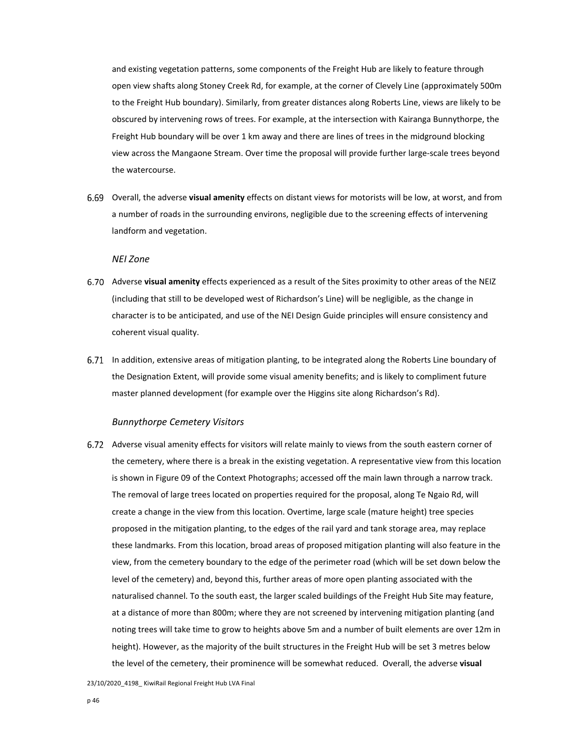and existing vegetation patterns, some components of the Freight Hub are likely to feature through open view shafts along Stoney Creek Rd, for example, at the corner of Clevely Line (approximately 500m to the Freight Hub boundary). Similarly, from greater distances along Roberts Line, views are likely to be obscured by intervening rows of trees. For example, at the intersection with Kairanga Bunnythorpe, the Freight Hub boundary will be over 1 km away and there are lines of trees in the midground blocking view across the Mangaone Stream. Over time the proposal will provide further large‐scale trees beyond the watercourse.

Overall, the adverse **visual amenity** effects on distant views for motorists will be low, at worst, and from a number of roads in the surrounding environs, negligible due to the screening effects of intervening landform and vegetation.

## *NEI Zone*

- Adverse **visual amenity** effects experienced as a result of the Sites proximity to other areas of the NEIZ (including that still to be developed west of Richardson's Line) will be negligible, as the change in character is to be anticipated, and use of the NEI Design Guide principles will ensure consistency and coherent visual quality.
- In addition, extensive areas of mitigation planting, to be integrated along the Roberts Line boundary of the Designation Extent, will provide some visual amenity benefits; and is likely to compliment future master planned development (for example over the Higgins site along Richardson's Rd).

#### *Bunnythorpe Cemetery Visitors*

6.72 Adverse visual amenity effects for visitors will relate mainly to views from the south eastern corner of the cemetery, where there is a break in the existing vegetation. A representative view from this location is shown in Figure 09 of the Context Photographs; accessed off the main lawn through a narrow track. The removal of large trees located on properties required for the proposal, along Te Ngaio Rd, will create a change in the view from this location. Overtime, large scale (mature height) tree species proposed in the mitigation planting, to the edges of the rail yard and tank storage area, may replace these landmarks. From this location, broad areas of proposed mitigation planting will also feature in the view, from the cemetery boundary to the edge of the perimeter road (which will be set down below the level of the cemetery) and, beyond this, further areas of more open planting associated with the naturalised channel. To the south east, the larger scaled buildings of the Freight Hub Site may feature, at a distance of more than 800m; where they are not screened by intervening mitigation planting (and noting trees will take time to grow to heights above 5m and a number of built elements are over 12m in height). However, as the majority of the built structures in the Freight Hub will be set 3 metres below the level of the cemetery, their prominence will be somewhat reduced. Overall, the adverse **visual**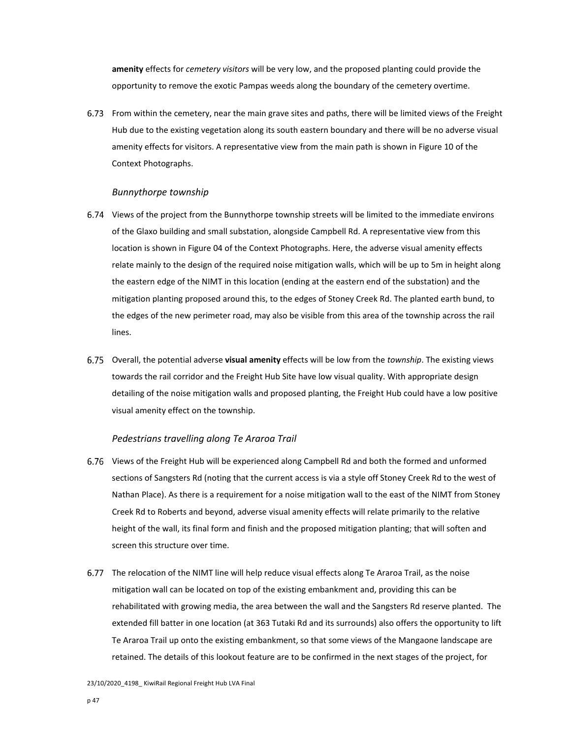**amenity** effects for *cemetery visitors* will be very low, and the proposed planting could provide the opportunity to remove the exotic Pampas weeds along the boundary of the cemetery overtime.

From within the cemetery, near the main grave sites and paths, there will be limited views of the Freight Hub due to the existing vegetation along its south eastern boundary and there will be no adverse visual amenity effects for visitors. A representative view from the main path is shown in Figure 10 of the Context Photographs.

### *Bunnythorpe township*

- Views of the project from the Bunnythorpe township streets will be limited to the immediate environs of the Glaxo building and small substation, alongside Campbell Rd. A representative view from this location is shown in Figure 04 of the Context Photographs. Here, the adverse visual amenity effects relate mainly to the design of the required noise mitigation walls, which will be up to 5m in height along the eastern edge of the NIMT in this location (ending at the eastern end of the substation) and the mitigation planting proposed around this, to the edges of Stoney Creek Rd. The planted earth bund, to the edges of the new perimeter road, may also be visible from this area of the township across the rail lines.
- Overall, the potential adverse **visual amenity** effects will be low from the *township*. The existing views towards the rail corridor and the Freight Hub Site have low visual quality. With appropriate design detailing of the noise mitigation walls and proposed planting, the Freight Hub could have a low positive visual amenity effect on the township.

## *Pedestrians travelling along Te Araroa Trail*

- Views of the Freight Hub will be experienced along Campbell Rd and both the formed and unformed sections of Sangsters Rd (noting that the current access is via a style off Stoney Creek Rd to the west of Nathan Place). As there is a requirement for a noise mitigation wall to the east of the NIMT from Stoney Creek Rd to Roberts and beyond, adverse visual amenity effects will relate primarily to the relative height of the wall, its final form and finish and the proposed mitigation planting; that will soften and screen this structure over time.
- The relocation of the NIMT line will help reduce visual effects along Te Araroa Trail, as the noise mitigation wall can be located on top of the existing embankment and, providing this can be rehabilitated with growing media, the area between the wall and the Sangsters Rd reserve planted. The extended fill batter in one location (at 363 Tutaki Rd and its surrounds) also offers the opportunity to lift Te Araroa Trail up onto the existing embankment, so that some views of the Mangaone landscape are retained. The details of this lookout feature are to be confirmed in the next stages of the project, for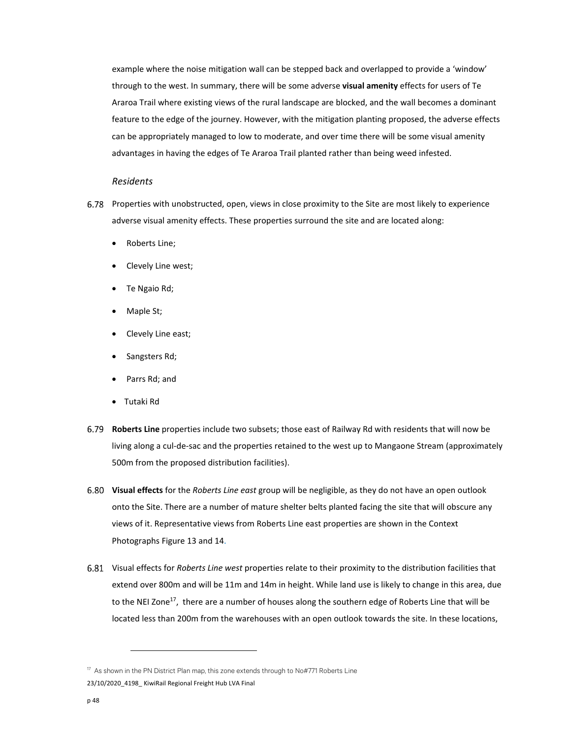example where the noise mitigation wall can be stepped back and overlapped to provide a 'window' through to the west. In summary, there will be some adverse **visual amenity** effects for users of Te Araroa Trail where existing views of the rural landscape are blocked, and the wall becomes a dominant feature to the edge of the journey. However, with the mitigation planting proposed, the adverse effects can be appropriately managed to low to moderate, and over time there will be some visual amenity advantages in having the edges of Te Araroa Trail planted rather than being weed infested.

## *Residents*

- 6.78 Properties with unobstructed, open, views in close proximity to the Site are most likely to experience adverse visual amenity effects. These properties surround the site and are located along:
	- Roberts Line;
	- Clevely Line west;
	- Te Ngaio Rd;
	- Maple St;
	- Clevely Line east;
	- Sangsters Rd;
	- Parrs Rd; and
	- Tutaki Rd
- **Roberts Line** properties include two subsets; those east of Railway Rd with residents that will now be living along a cul‐de‐sac and the properties retained to the west up to Mangaone Stream (approximately 500m from the proposed distribution facilities).
- **Visual effects** for the *Roberts Line east* group will be negligible, as they do not have an open outlook onto the Site. There are a number of mature shelter belts planted facing the site that will obscure any views of it. Representative views from Roberts Line east properties are shown in the Context Photographs Figure 13 and 14.
- Visual effects for *Roberts Line west* properties relate to their proximity to the distribution facilities that extend over 800m and will be 11m and 14m in height. While land use is likely to change in this area, due to the NEI Zone<sup>17</sup>, there are a number of houses along the southern edge of Roberts Line that will be located less than 200m from the warehouses with an open outlook towards the site. In these locations,

<sup>23/10/2020</sup>\_4198\_ KiwiRail Regional Freight Hub LVA Final <sup>17</sup> As shown in the PN District Plan map, this zone extends through to No#771 Roberts Line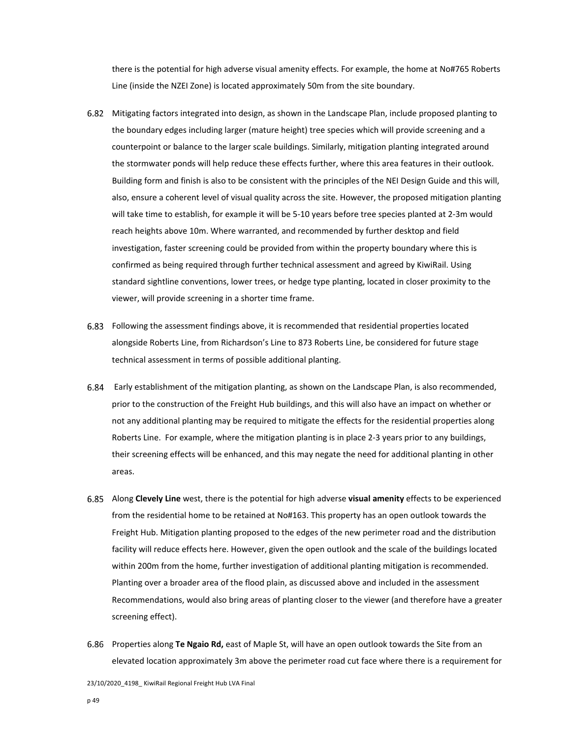there is the potential for high adverse visual amenity effects. For example, the home at No#765 Roberts Line (inside the NZEI Zone) is located approximately 50m from the site boundary.

- Mitigating factors integrated into design, as shown in the Landscape Plan, include proposed planting to the boundary edges including larger (mature height) tree species which will provide screening and a counterpoint or balance to the larger scale buildings. Similarly, mitigation planting integrated around the stormwater ponds will help reduce these effects further, where this area features in their outlook. Building form and finish is also to be consistent with the principles of the NEI Design Guide and this will, also, ensure a coherent level of visual quality across the site. However, the proposed mitigation planting will take time to establish, for example it will be 5‐10 years before tree species planted at 2‐3m would reach heights above 10m. Where warranted, and recommended by further desktop and field investigation, faster screening could be provided from within the property boundary where this is confirmed as being required through further technical assessment and agreed by KiwiRail. Using standard sightline conventions, lower trees, or hedge type planting, located in closer proximity to the viewer, will provide screening in a shorter time frame.
- Following the assessment findings above, it is recommended that residential properties located alongside Roberts Line, from Richardson's Line to 873 Roberts Line, be considered for future stage technical assessment in terms of possible additional planting.
- Early establishment of the mitigation planting, as shown on the Landscape Plan, is also recommended, prior to the construction of the Freight Hub buildings, and this will also have an impact on whether or not any additional planting may be required to mitigate the effects for the residential properties along Roberts Line. For example, where the mitigation planting is in place 2‐3 years prior to any buildings, their screening effects will be enhanced, and this may negate the need for additional planting in other areas.
- Along **Clevely Line** west, there is the potential for high adverse **visual amenity** effects to be experienced from the residential home to be retained at No#163. This property has an open outlook towards the Freight Hub. Mitigation planting proposed to the edges of the new perimeter road and the distribution facility will reduce effects here. However, given the open outlook and the scale of the buildings located within 200m from the home, further investigation of additional planting mitigation is recommended. Planting over a broader area of the flood plain, as discussed above and included in the assessment Recommendations, would also bring areas of planting closer to the viewer (and therefore have a greater screening effect).
- Properties along **Te Ngaio Rd,** east of Maple St, will have an open outlook towards the Site from an elevated location approximately 3m above the perimeter road cut face where there is a requirement for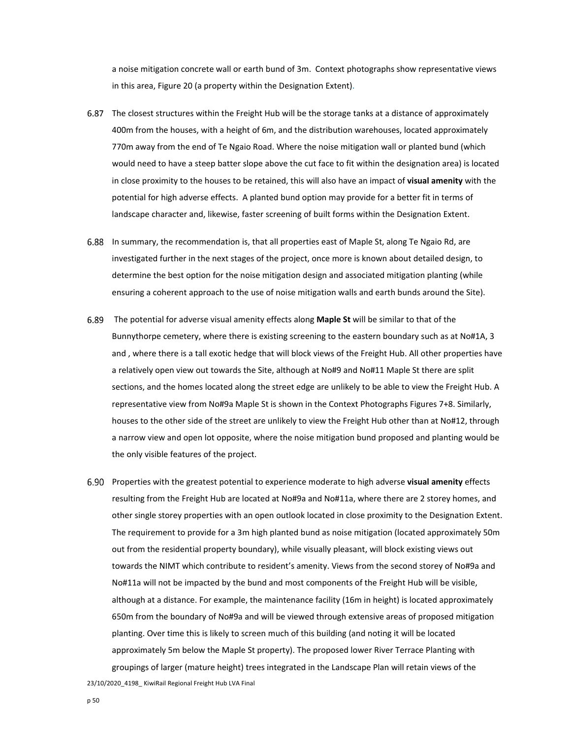a noise mitigation concrete wall or earth bund of 3m. Context photographs show representative views in this area, Figure 20 (a property within the Designation Extent).

- The closest structures within the Freight Hub will be the storage tanks at a distance of approximately 400m from the houses, with a height of 6m, and the distribution warehouses, located approximately 770m away from the end of Te Ngaio Road. Where the noise mitigation wall or planted bund (which would need to have a steep batter slope above the cut face to fit within the designation area) is located in close proximity to the houses to be retained, this will also have an impact of **visual amenity** with the potential for high adverse effects. A planted bund option may provide for a better fit in terms of landscape character and, likewise, faster screening of built forms within the Designation Extent.
- In summary, the recommendation is, that all properties east of Maple St, along Te Ngaio Rd, are investigated further in the next stages of the project, once more is known about detailed design, to determine the best option for the noise mitigation design and associated mitigation planting (while ensuring a coherent approach to the use of noise mitigation walls and earth bunds around the Site).
- The potential for adverse visual amenity effects along **Maple St** will be similar to that of the Bunnythorpe cemetery, where there is existing screening to the eastern boundary such as at No#1A, 3 and , where there is a tall exotic hedge that will block views of the Freight Hub. All other properties have a relatively open view out towards the Site, although at No#9 and No#11 Maple St there are split sections, and the homes located along the street edge are unlikely to be able to view the Freight Hub. A representative view from No#9a Maple St is shown in the Context Photographs Figures 7+8. Similarly, houses to the other side of the street are unlikely to view the Freight Hub other than at No#12, through a narrow view and open lot opposite, where the noise mitigation bund proposed and planting would be the only visible features of the project.
- Properties with the greatest potential to experience moderate to high adverse **visual amenity** effects resulting from the Freight Hub are located at No#9a and No#11a, where there are 2 storey homes, and other single storey properties with an open outlook located in close proximity to the Designation Extent. The requirement to provide for a 3m high planted bund as noise mitigation (located approximately 50m out from the residential property boundary), while visually pleasant, will block existing views out towards the NIMT which contribute to resident's amenity. Views from the second storey of No#9a and No#11a will not be impacted by the bund and most components of the Freight Hub will be visible, although at a distance. For example, the maintenance facility (16m in height) is located approximately 650m from the boundary of No#9a and will be viewed through extensive areas of proposed mitigation planting. Over time this is likely to screen much of this building (and noting it will be located approximately 5m below the Maple St property). The proposed lower River Terrace Planting with groupings of larger (mature height) trees integrated in the Landscape Plan will retain views of the

23/10/2020 4198 KiwiRail Regional Freight Hub LVA Final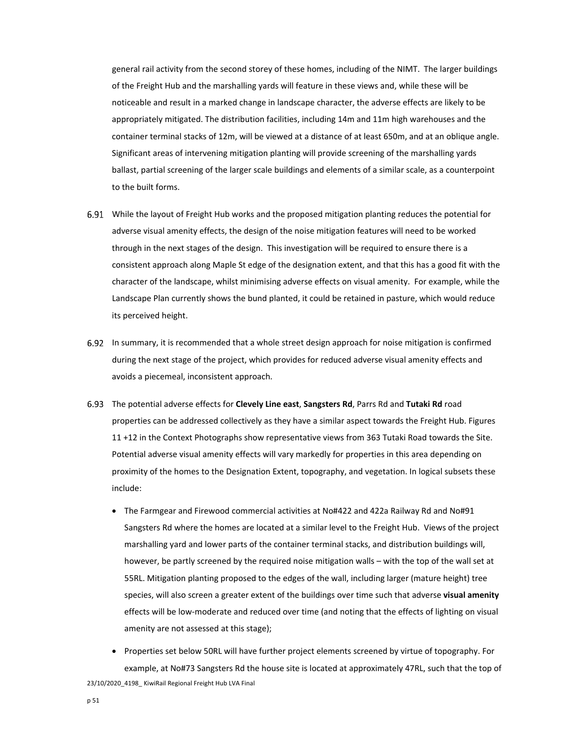general rail activity from the second storey of these homes, including of the NIMT. The larger buildings of the Freight Hub and the marshalling yards will feature in these views and, while these will be noticeable and result in a marked change in landscape character, the adverse effects are likely to be appropriately mitigated. The distribution facilities, including 14m and 11m high warehouses and the container terminal stacks of 12m, will be viewed at a distance of at least 650m, and at an oblique angle. Significant areas of intervening mitigation planting will provide screening of the marshalling yards ballast, partial screening of the larger scale buildings and elements of a similar scale, as a counterpoint to the built forms.

- While the layout of Freight Hub works and the proposed mitigation planting reduces the potential for adverse visual amenity effects, the design of the noise mitigation features will need to be worked through in the next stages of the design. This investigation will be required to ensure there is a consistent approach along Maple St edge of the designation extent, and that this has a good fit with the character of the landscape, whilst minimising adverse effects on visual amenity. For example, while the Landscape Plan currently shows the bund planted, it could be retained in pasture, which would reduce its perceived height.
- In summary, it is recommended that a whole street design approach for noise mitigation is confirmed during the next stage of the project, which provides for reduced adverse visual amenity effects and avoids a piecemeal, inconsistent approach.
- The potential adverse effects for **Clevely Line east**, **Sangsters Rd**, Parrs Rd and **Tutaki Rd** road properties can be addressed collectively as they have a similar aspect towards the Freight Hub. Figures 11 +12 in the Context Photographs show representative views from 363 Tutaki Road towards the Site. Potential adverse visual amenity effects will vary markedly for properties in this area depending on proximity of the homes to the Designation Extent, topography, and vegetation. In logical subsets these include:
	- The Farmgear and Firewood commercial activities at No#422 and 422a Railway Rd and No#91 Sangsters Rd where the homes are located at a similar level to the Freight Hub. Views of the project marshalling yard and lower parts of the container terminal stacks, and distribution buildings will, however, be partly screened by the required noise mitigation walls – with the top of the wall set at 55RL. Mitigation planting proposed to the edges of the wall, including larger (mature height) tree species, will also screen a greater extent of the buildings over time such that adverse **visual amenity** effects will be low‐moderate and reduced over time (and noting that the effects of lighting on visual amenity are not assessed at this stage);
- 23/10/2020 4198 KiwiRail Regional Freight Hub LVA Final • Properties set below 50RL will have further project elements screened by virtue of topography. For example, at No#73 Sangsters Rd the house site is located at approximately 47RL, such that the top of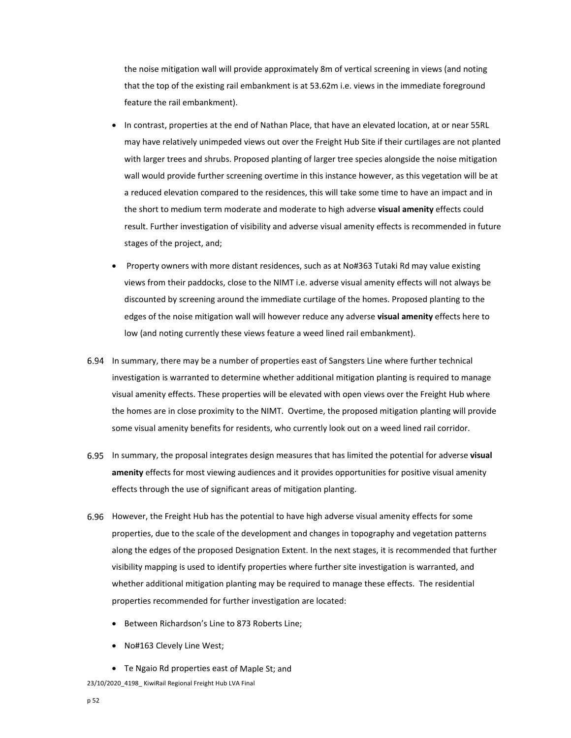the noise mitigation wall will provide approximately 8m of vertical screening in views (and noting that the top of the existing rail embankment is at 53.62m i.e. views in the immediate foreground feature the rail embankment).

- In contrast, properties at the end of Nathan Place, that have an elevated location, at or near 55RL may have relatively unimpeded views out over the Freight Hub Site if their curtilages are not planted with larger trees and shrubs. Proposed planting of larger tree species alongside the noise mitigation wall would provide further screening overtime in this instance however, as this vegetation will be at a reduced elevation compared to the residences, this will take some time to have an impact and in the short to medium term moderate and moderate to high adverse **visual amenity** effects could result. Further investigation of visibility and adverse visual amenity effects is recommended in future stages of the project, and;
- Property owners with more distant residences, such as at No#363 Tutaki Rd may value existing views from their paddocks, close to the NIMT i.e. adverse visual amenity effects will not always be discounted by screening around the immediate curtilage of the homes. Proposed planting to the edges of the noise mitigation wall will however reduce any adverse **visual amenity** effects here to low (and noting currently these views feature a weed lined rail embankment).
- In summary, there may be a number of properties east of Sangsters Line where further technical investigation is warranted to determine whether additional mitigation planting is required to manage visual amenity effects. These properties will be elevated with open views over the Freight Hub where the homes are in close proximity to the NIMT. Overtime, the proposed mitigation planting will provide some visual amenity benefits for residents, who currently look out on a weed lined rail corridor.
- In summary, the proposal integrates design measures that has limited the potential for adverse **visual amenity** effects for most viewing audiences and it provides opportunities for positive visual amenity effects through the use of significant areas of mitigation planting.
- 6.96 However, the Freight Hub has the potential to have high adverse visual amenity effects for some properties, due to the scale of the development and changes in topography and vegetation patterns along the edges of the proposed Designation Extent. In the next stages, it is recommended that further visibility mapping is used to identify properties where further site investigation is warranted, and whether additional mitigation planting may be required to manage these effects. The residential properties recommended for further investigation are located:
	- **Between Richardson's Line to 873 Roberts Line;**
	- No#163 Clevely Line West;
	- Te Ngaio Rd properties east of Maple St; and

23/10/2020 4198 KiwiRail Regional Freight Hub LVA Final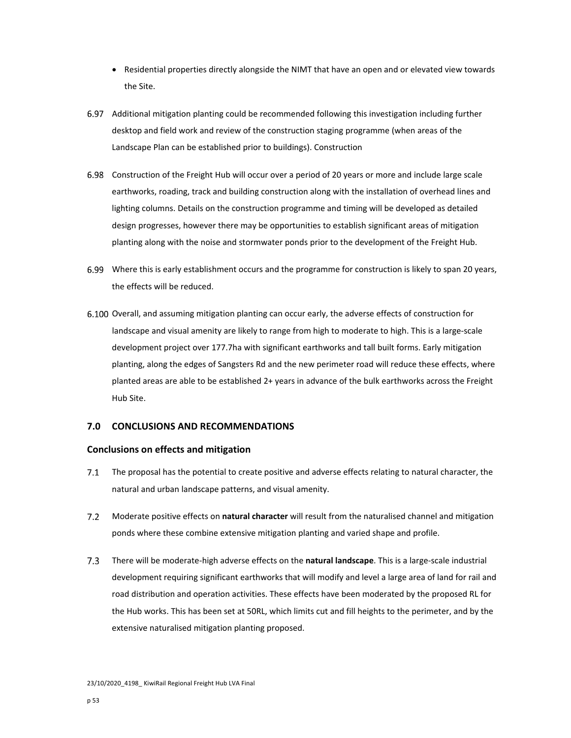- Residential properties directly alongside the NIMT that have an open and or elevated view towards the Site.
- Additional mitigation planting could be recommended following this investigation including further desktop and field work and review of the construction staging programme (when areas of the Landscape Plan can be established prior to buildings). Construction
- Construction of the Freight Hub will occur over a period of 20 years or more and include large scale earthworks, roading, track and building construction along with the installation of overhead lines and lighting columns. Details on the construction programme and timing will be developed as detailed design progresses, however there may be opportunities to establish significant areas of mitigation planting along with the noise and stormwater ponds prior to the development of the Freight Hub.
- Where this is early establishment occurs and the programme for construction is likely to span 20 years, the effects will be reduced.
- 6.100 Overall, and assuming mitigation planting can occur early, the adverse effects of construction for landscape and visual amenity are likely to range from high to moderate to high. This is a large-scale development project over 177.7ha with significant earthworks and tall built forms. Early mitigation planting, along the edges of Sangsters Rd and the new perimeter road will reduce these effects, where planted areas are able to be established 2+ years in advance of the bulk earthworks across the Freight Hub Site.

# **7.0 CONCLUSIONS AND RECOMMENDATIONS**

## **Conclusions on effects and mitigation**

- $7.1$ The proposal has the potential to create positive and adverse effects relating to natural character, the natural and urban landscape patterns, and visual amenity.
- $7.2$ Moderate positive effects on **natural character** will result from the naturalised channel and mitigation ponds where these combine extensive mitigation planting and varied shape and profile.
- There will be moderate‐high adverse effects on the **natural landscape**. This is a large‐scale industrial  $7.3$ development requiring significant earthworks that will modify and level a large area of land for rail and road distribution and operation activities. These effects have been moderated by the proposed RL for the Hub works. This has been set at 50RL, which limits cut and fill heights to the perimeter, and by the extensive naturalised mitigation planting proposed.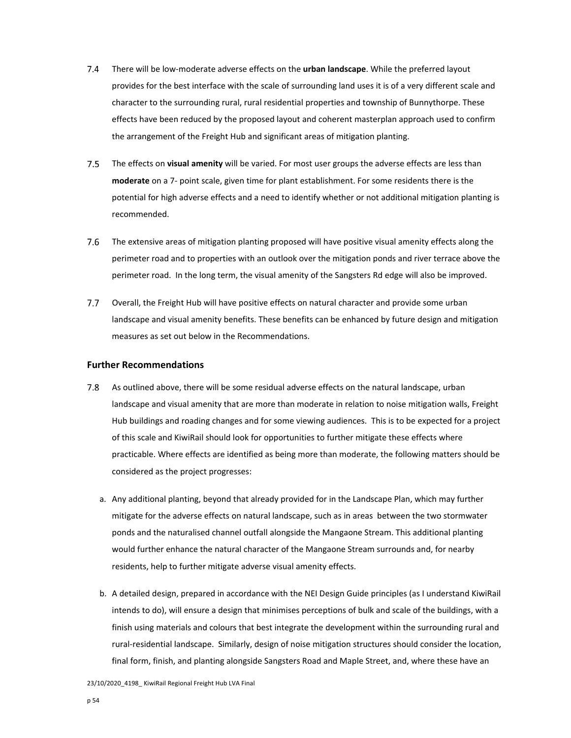- There will be low‐moderate adverse effects on the **urban landscape**. While the preferred layout  $7.4$ provides for the best interface with the scale of surrounding land uses it is of a very different scale and character to the surrounding rural, rural residential properties and township of Bunnythorpe. These effects have been reduced by the proposed layout and coherent masterplan approach used to confirm the arrangement of the Freight Hub and significant areas of mitigation planting.
- $7.5$ The effects on **visual amenity** will be varied. For most user groups the adverse effects are less than **moderate** on a 7‐ point scale, given time for plant establishment. For some residents there is the potential for high adverse effects and a need to identify whether or not additional mitigation planting is recommended.
- $7.6$ The extensive areas of mitigation planting proposed will have positive visual amenity effects along the perimeter road and to properties with an outlook over the mitigation ponds and river terrace above the perimeter road. In the long term, the visual amenity of the Sangsters Rd edge will also be improved.
- $7.7$ Overall, the Freight Hub will have positive effects on natural character and provide some urban landscape and visual amenity benefits. These benefits can be enhanced by future design and mitigation measures as set out below in the Recommendations.

## **Further Recommendations**

- As outlined above, there will be some residual adverse effects on the natural landscape, urban 7.8 landscape and visual amenity that are more than moderate in relation to noise mitigation walls, Freight Hub buildings and roading changes and for some viewing audiences. This is to be expected for a project of this scale and KiwiRail should look for opportunities to further mitigate these effects where practicable. Where effects are identified as being more than moderate, the following matters should be considered as the project progresses:
	- a. Any additional planting, beyond that already provided for in the Landscape Plan, which may further mitigate for the adverse effects on natural landscape, such as in areas between the two stormwater ponds and the naturalised channel outfall alongside the Mangaone Stream. This additional planting would further enhance the natural character of the Mangaone Stream surrounds and, for nearby residents, help to further mitigate adverse visual amenity effects.
	- b. A detailed design, prepared in accordance with the NEI Design Guide principles (as I understand KiwiRail intends to do), will ensure a design that minimises perceptions of bulk and scale of the buildings, with a finish using materials and colours that best integrate the development within the surrounding rural and rural‐residential landscape. Similarly, design of noise mitigation structures should consider the location, final form, finish, and planting alongside Sangsters Road and Maple Street, and, where these have an